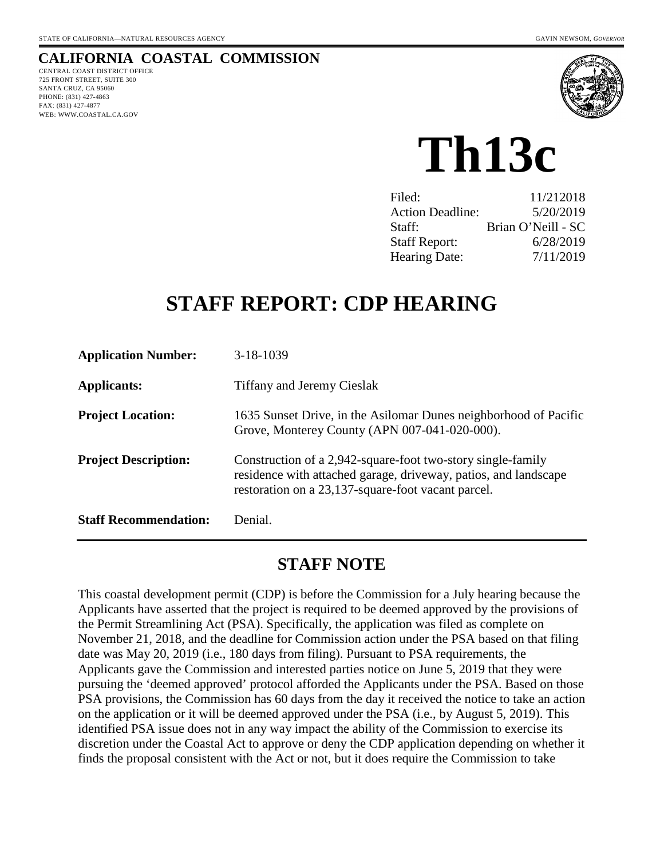# **CALIFORNIA COASTAL COMMISSION**

CENTRAL COAST DISTRICT OFFICE 725 FRONT STREET, SUITE 300 SANTA CRUZ, CA 95060 PHONE: (831) 427-4863 FAX: (831) 427-4877 WEB: WWW.COASTAL.CA.GOV



**Th13c** 

| 11/212018          |
|--------------------|
| 5/20/2019          |
| Brian O'Neill - SC |
| 6/28/2019          |
| 7/11/2019          |
|                    |

# **STAFF REPORT: CDP HEARING**

| <b>Application Number:</b>   | $3-18-1039$                                                                                                                                                                          |
|------------------------------|--------------------------------------------------------------------------------------------------------------------------------------------------------------------------------------|
| <b>Applicants:</b>           | <b>Tiffany and Jeremy Cieslak</b>                                                                                                                                                    |
| <b>Project Location:</b>     | 1635 Sunset Drive, in the Asilomar Dunes neighborhood of Pacific<br>Grove, Monterey County (APN 007-041-020-000).                                                                    |
| <b>Project Description:</b>  | Construction of a 2,942-square-foot two-story single-family<br>residence with attached garage, driveway, patios, and landscape<br>restoration on a 23,137-square-foot vacant parcel. |
| <b>Staff Recommendation:</b> | Denial.                                                                                                                                                                              |

# **STAFF NOTE**

This coastal development permit (CDP) is before the Commission for a July hearing because the Applicants have asserted that the project is required to be deemed approved by the provisions of the Permit Streamlining Act (PSA). Specifically, the application was filed as complete on November 21, 2018, and the deadline for Commission action under the PSA based on that filing date was May 20, 2019 (i.e., 180 days from filing). Pursuant to PSA requirements, the Applicants gave the Commission and interested parties notice on June 5, 2019 that they were pursuing the 'deemed approved' protocol afforded the Applicants under the PSA. Based on those PSA provisions, the Commission has 60 days from the day it received the notice to take an action on the application or it will be deemed approved under the PSA (i.e., by August 5, 2019). This identified PSA issue does not in any way impact the ability of the Commission to exercise its discretion under the Coastal Act to approve or deny the CDP application depending on whether it finds the proposal consistent with the Act or not, but it does require the Commission to take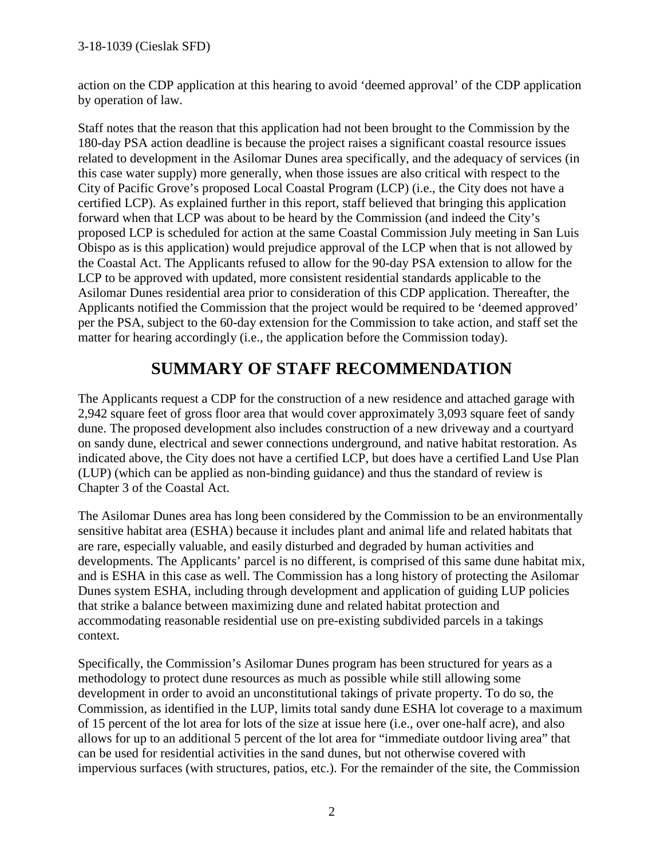action on the CDP application at this hearing to avoid 'deemed approval' of the CDP application by operation of law.

Staff notes that the reason that this application had not been brought to the Commission by the 180-day PSA action deadline is because the project raises a significant coastal resource issues related to development in the Asilomar Dunes area specifically, and the adequacy of services (in this case water supply) more generally, when those issues are also critical with respect to the City of Pacific Grove's proposed Local Coastal Program (LCP) (i.e., the City does not have a certified LCP). As explained further in this report, staff believed that bringing this application forward when that LCP was about to be heard by the Commission (and indeed the City's proposed LCP is scheduled for action at the same Coastal Commission July meeting in San Luis Obispo as is this application) would prejudice approval of the LCP when that is not allowed by the Coastal Act. The Applicants refused to allow for the 90-day PSA extension to allow for the LCP to be approved with updated, more consistent residential standards applicable to the Asilomar Dunes residential area prior to consideration of this CDP application. Thereafter, the Applicants notified the Commission that the project would be required to be 'deemed approved' per the PSA, subject to the 60-day extension for the Commission to take action, and staff set the matter for hearing accordingly (i.e., the application before the Commission today).

# **SUMMARY OF STAFF RECOMMENDATION**

The Applicants request a CDP for the construction of a new residence and attached garage with 2,942 square feet of gross floor area that would cover approximately 3,093 square feet of sandy dune. The proposed development also includes construction of a new driveway and a courtyard on sandy dune, electrical and sewer connections underground, and native habitat restoration. As indicated above, the City does not have a certified LCP, but does have a certified Land Use Plan (LUP) (which can be applied as non-binding guidance) and thus the standard of review is Chapter 3 of the Coastal Act.

The Asilomar Dunes area has long been considered by the Commission to be an environmentally sensitive habitat area (ESHA) because it includes plant and animal life and related habitats that are rare, especially valuable, and easily disturbed and degraded by human activities and developments. The Applicants' parcel is no different, is comprised of this same dune habitat mix, and is ESHA in this case as well. The Commission has a long history of protecting the Asilomar Dunes system ESHA, including through development and application of guiding LUP policies that strike a balance between maximizing dune and related habitat protection and accommodating reasonable residential use on pre-existing subdivided parcels in a takings context.

Specifically, the Commission's Asilomar Dunes program has been structured for years as a methodology to protect dune resources as much as possible while still allowing some development in order to avoid an unconstitutional takings of private property. To do so, the Commission, as identified in the LUP, limits total sandy dune ESHA lot coverage to a maximum of 15 percent of the lot area for lots of the size at issue here (i.e., over one-half acre), and also allows for up to an additional 5 percent of the lot area for "immediate outdoor living area" that can be used for residential activities in the sand dunes, but not otherwise covered with impervious surfaces (with structures, patios, etc.). For the remainder of the site, the Commission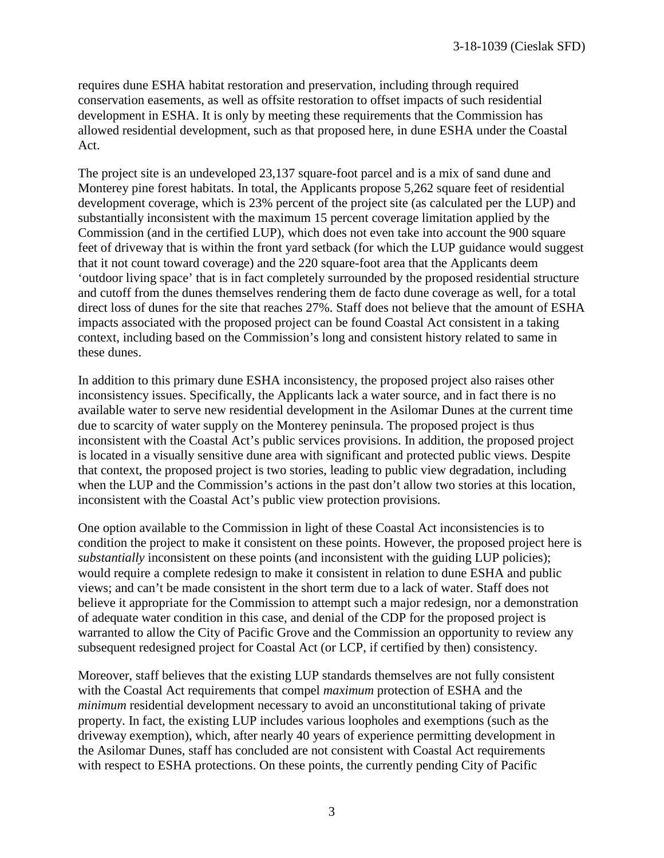requires dune ESHA habitat restoration and preservation, including through required conservation easements, as well as offsite restoration to offset impacts of such residential development in ESHA. It is only by meeting these requirements that the Commission has allowed residential development, such as that proposed here, in dune ESHA under the Coastal Act.

The project site is an undeveloped 23,137 square-foot parcel and is a mix of sand dune and Monterey pine forest habitats. In total, the Applicants propose 5,262 square feet of residential development coverage, which is 23% percent of the project site (as calculated per the LUP) and substantially inconsistent with the maximum 15 percent coverage limitation applied by the Commission (and in the certified LUP), which does not even take into account the 900 square feet of driveway that is within the front yard setback (for which the LUP guidance would suggest that it not count toward coverage) and the 220 square-foot area that the Applicants deem 'outdoor living space' that is in fact completely surrounded by the proposed residential structure and cutoff from the dunes themselves rendering them de facto dune coverage as well, for a total direct loss of dunes for the site that reaches 27%. Staff does not believe that the amount of ESHA impacts associated with the proposed project can be found Coastal Act consistent in a taking context, including based on the Commission's long and consistent history related to same in these dunes.

In addition to this primary dune ESHA inconsistency, the proposed project also raises other inconsistency issues. Specifically, the Applicants lack a water source, and in fact there is no available water to serve new residential development in the Asilomar Dunes at the current time due to scarcity of water supply on the Monterey peninsula. The proposed project is thus inconsistent with the Coastal Act's public services provisions. In addition, the proposed project is located in a visually sensitive dune area with significant and protected public views. Despite that context, the proposed project is two stories, leading to public view degradation, including when the LUP and the Commission's actions in the past don't allow two stories at this location, inconsistent with the Coastal Act's public view protection provisions.

One option available to the Commission in light of these Coastal Act inconsistencies is to condition the project to make it consistent on these points. However, the proposed project here is *substantially* inconsistent on these points (and inconsistent with the guiding LUP policies); would require a complete redesign to make it consistent in relation to dune ESHA and public views; and can't be made consistent in the short term due to a lack of water. Staff does not believe it appropriate for the Commission to attempt such a major redesign, nor a demonstration of adequate water condition in this case, and denial of the CDP for the proposed project is warranted to allow the City of Pacific Grove and the Commission an opportunity to review any subsequent redesigned project for Coastal Act (or LCP, if certified by then) consistency.

Moreover, staff believes that the existing LUP standards themselves are not fully consistent with the Coastal Act requirements that compel *maximum* protection of ESHA and the *minimum* residential development necessary to avoid an unconstitutional taking of private property. In fact, the existing LUP includes various loopholes and exemptions (such as the driveway exemption), which, after nearly 40 years of experience permitting development in the Asilomar Dunes, staff has concluded are not consistent with Coastal Act requirements with respect to ESHA protections. On these points, the currently pending City of Pacific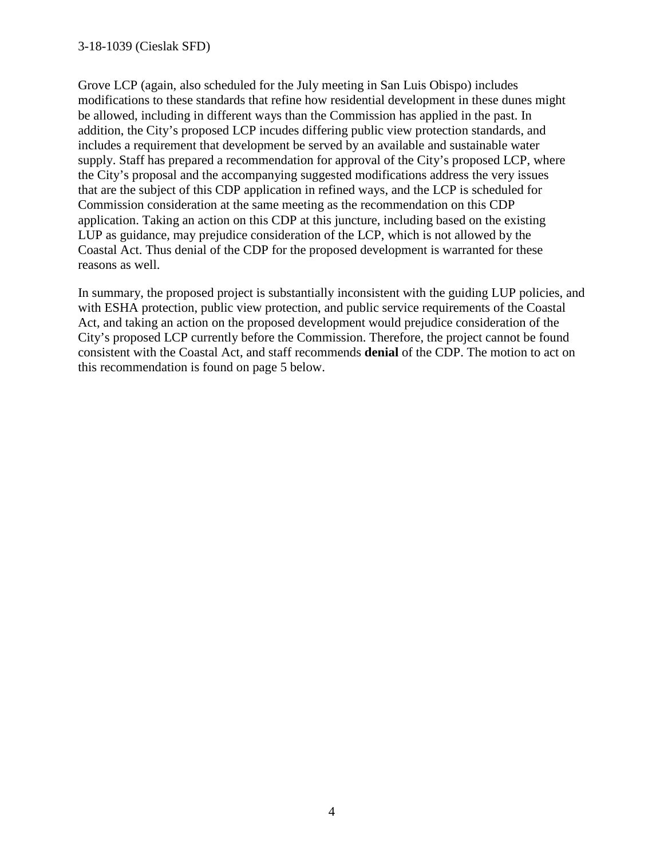Grove LCP (again, also scheduled for the July meeting in San Luis Obispo) includes modifications to these standards that refine how residential development in these dunes might be allowed, including in different ways than the Commission has applied in the past. In addition, the City's proposed LCP incudes differing public view protection standards, and includes a requirement that development be served by an available and sustainable water supply. Staff has prepared a recommendation for approval of the City's proposed LCP, where the City's proposal and the accompanying suggested modifications address the very issues that are the subject of this CDP application in refined ways, and the LCP is scheduled for Commission consideration at the same meeting as the recommendation on this CDP application. Taking an action on this CDP at this juncture, including based on the existing LUP as guidance, may prejudice consideration of the LCP, which is not allowed by the Coastal Act. Thus denial of the CDP for the proposed development is warranted for these reasons as well.

In summary, the proposed project is substantially inconsistent with the guiding LUP policies, and with ESHA protection, public view protection, and public service requirements of the Coastal Act, and taking an action on the proposed development would prejudice consideration of the City's proposed LCP currently before the Commission. Therefore, the project cannot be found consistent with the Coastal Act, and staff recommends **denial** of the CDP. The motion to act on this recommendation is found on page 5 below.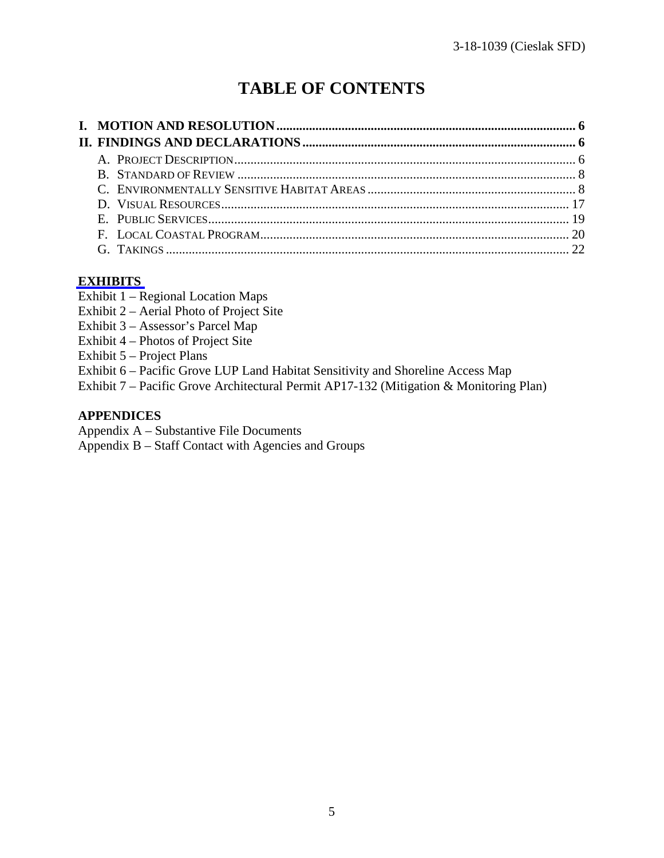# **TABLE OF CONTENTS**

### **[EXHIBITS](https://documents.coastal.ca.gov/reports/2019/7/th13c/th13c-7-2019-exhibits.pdf)**

- Exhibit 1 Regional Location Maps
- Exhibit 2 Aerial Photo of Project Site
- Exhibit 3 Assessor's Parcel Map
- Exhibit 4 Photos of Project Site
- Exhibit 5 Project Plans
- Exhibit 6 Pacific Grove LUP Land Habitat Sensitivity and Shoreline Access Map
- Exhibit 7 Pacific Grove Architectural Permit AP17-132 (Mitigation & Monitoring Plan)

#### **APPENDICES**

Appendix A – Substantive File Documents

Appendix B – Staff Contact with Agencies and Groups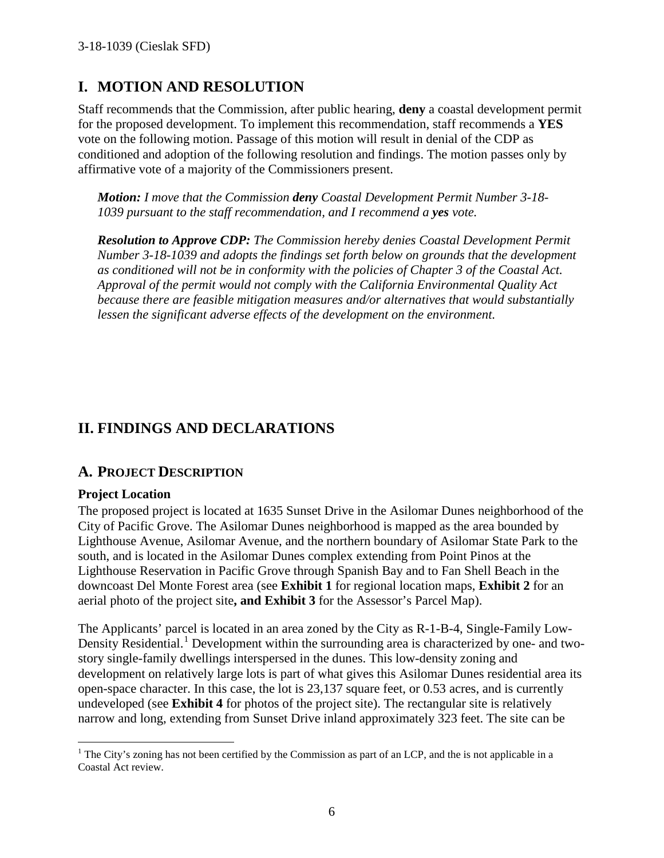# **I. MOTION AND RESOLUTION**

Staff recommends that the Commission, after public hearing, **deny** a coastal development permit for the proposed development. To implement this recommendation, staff recommends a **YES** vote on the following motion. Passage of this motion will result in denial of the CDP as conditioned and adoption of the following resolution and findings. The motion passes only by affirmative vote of a majority of the Commissioners present.

*Motion: I move that the Commission deny Coastal Development Permit Number 3-18- 1039 pursuant to the staff recommendation, and I recommend a yes vote.* 

*Resolution to Approve CDP: The Commission hereby denies Coastal Development Permit Number 3-18-1039 and adopts the findings set forth below on grounds that the development as conditioned will not be in conformity with the policies of Chapter 3 of the Coastal Act. Approval of the permit would not comply with the California Environmental Quality Act because there are feasible mitigation measures and/or alternatives that would substantially lessen the significant adverse effects of the development on the environment.* 

# **II. FINDINGS AND DECLARATIONS**

### **A. PROJECT DESCRIPTION**

#### **Project Location**

The proposed project is located at 1635 Sunset Drive in the Asilomar Dunes neighborhood of the City of Pacific Grove. The Asilomar Dunes neighborhood is mapped as the area bounded by Lighthouse Avenue, Asilomar Avenue, and the northern boundary of Asilomar State Park to the south, and is located in the Asilomar Dunes complex extending from Point Pinos at the Lighthouse Reservation in Pacific Grove through Spanish Bay and to Fan Shell Beach in the downcoast Del Monte Forest area (see **Exhibit 1** for regional location maps, **Exhibit 2** for an aerial photo of the project site**, and Exhibit 3** for the Assessor's Parcel Map).

The Applicants' parcel is located in an area zoned by the City as R-1-B-4, Single-Family Low-Density Residential.<sup>[1](#page-5-0)</sup> Development within the surrounding area is characterized by one- and twostory single-family dwellings interspersed in the dunes. This low-density zoning and development on relatively large lots is part of what gives this Asilomar Dunes residential area its open-space character. In this case, the lot is 23,137 square feet, or 0.53 acres, and is currently undeveloped (see **Exhibit 4** for photos of the project site). The rectangular site is relatively narrow and long, extending from Sunset Drive inland approximately 323 feet. The site can be

<span id="page-5-0"></span> $\overline{a}$  $1$  The City's zoning has not been certified by the Commission as part of an LCP, and the is not applicable in a Coastal Act review.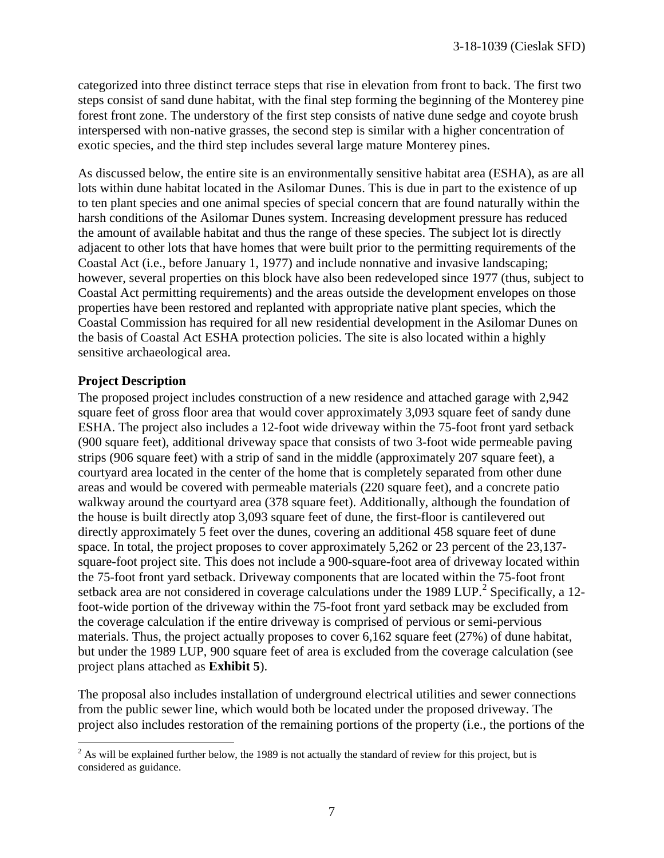categorized into three distinct terrace steps that rise in elevation from front to back. The first two steps consist of sand dune habitat, with the final step forming the beginning of the Monterey pine forest front zone. The understory of the first step consists of native dune sedge and coyote brush interspersed with non-native grasses, the second step is similar with a higher concentration of exotic species, and the third step includes several large mature Monterey pines.

As discussed below, the entire site is an environmentally sensitive habitat area (ESHA), as are all lots within dune habitat located in the Asilomar Dunes. This is due in part to the existence of up to ten plant species and one animal species of special concern that are found naturally within the harsh conditions of the Asilomar Dunes system. Increasing development pressure has reduced the amount of available habitat and thus the range of these species. The subject lot is directly adjacent to other lots that have homes that were built prior to the permitting requirements of the Coastal Act (i.e., before January 1, 1977) and include nonnative and invasive landscaping; however, several properties on this block have also been redeveloped since 1977 (thus, subject to Coastal Act permitting requirements) and the areas outside the development envelopes on those properties have been restored and replanted with appropriate native plant species, which the Coastal Commission has required for all new residential development in the Asilomar Dunes on the basis of Coastal Act ESHA protection policies. The site is also located within a highly sensitive archaeological area.

#### **Project Description**

The proposed project includes construction of a new residence and attached garage with 2,942 square feet of gross floor area that would cover approximately 3,093 square feet of sandy dune ESHA. The project also includes a 12-foot wide driveway within the 75-foot front yard setback (900 square feet), additional driveway space that consists of two 3-foot wide permeable paving strips (906 square feet) with a strip of sand in the middle (approximately 207 square feet), a courtyard area located in the center of the home that is completely separated from other dune areas and would be covered with permeable materials (220 square feet), and a concrete patio walkway around the courtyard area (378 square feet). Additionally, although the foundation of the house is built directly atop 3,093 square feet of dune, the first-floor is cantilevered out directly approximately 5 feet over the dunes, covering an additional 458 square feet of dune space. In total, the project proposes to cover approximately 5,262 or 23 percent of the 23,137 square-foot project site. This does not include a 900-square-foot area of driveway located within the 75-foot front yard setback. Driveway components that are located within the 75-foot front setback area are not considered in coverage calculations under the 1989 LUP.<sup>[2](#page-6-0)</sup> Specifically, a 12foot-wide portion of the driveway within the 75-foot front yard setback may be excluded from the coverage calculation if the entire driveway is comprised of pervious or semi-pervious materials. Thus, the project actually proposes to cover 6,162 square feet (27%) of dune habitat, but under the 1989 LUP, 900 square feet of area is excluded from the coverage calculation (see project plans attached as **Exhibit 5**).

The proposal also includes installation of underground electrical utilities and sewer connections from the public sewer line, which would both be located under the proposed driveway. The project also includes restoration of the remaining portions of the property (i.e., the portions of the

<span id="page-6-0"></span> $\overline{a}$  $^{2}$  As will be explained further below, the 1989 is not actually the standard of review for this project, but is considered as guidance.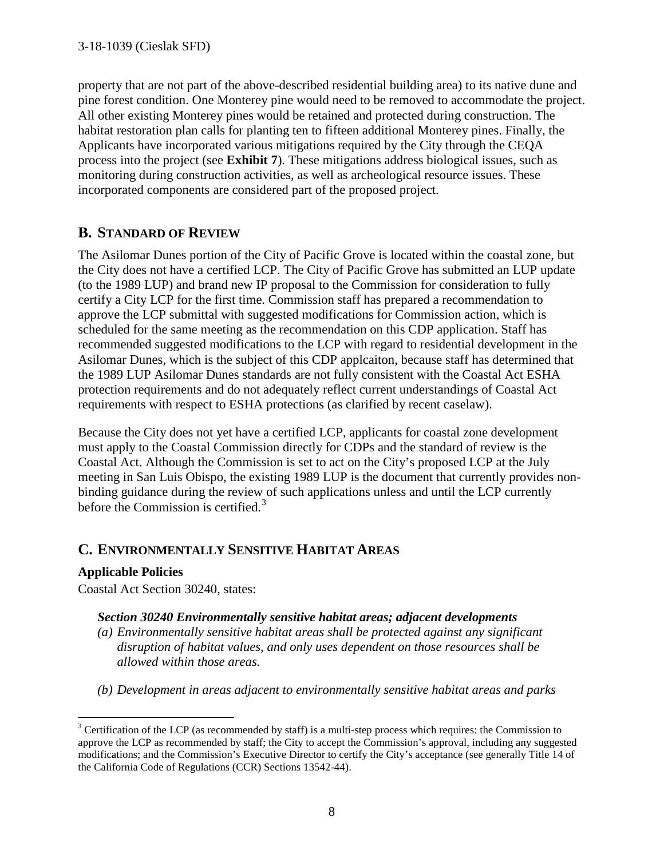property that are not part of the above-described residential building area) to its native dune and pine forest condition. One Monterey pine would need to be removed to accommodate the project. All other existing Monterey pines would be retained and protected during construction. The habitat restoration plan calls for planting ten to fifteen additional Monterey pines. Finally, the Applicants have incorporated various mitigations required by the City through the CEQA process into the project (see **Exhibit 7**). These mitigations address biological issues, such as monitoring during construction activities, as well as archeological resource issues. These incorporated components are considered part of the proposed project.

### **B. STANDARD OF REVIEW**

The Asilomar Dunes portion of the City of Pacific Grove is located within the coastal zone, but the City does not have a certified LCP. The City of Pacific Grove has submitted an LUP update (to the 1989 LUP) and brand new IP proposal to the Commission for consideration to fully certify a City LCP for the first time. Commission staff has prepared a recommendation to approve the LCP submittal with suggested modifications for Commission action, which is scheduled for the same meeting as the recommendation on this CDP application. Staff has recommended suggested modifications to the LCP with regard to residential development in the Asilomar Dunes, which is the subject of this CDP applcaiton, because staff has determined that the 1989 LUP Asilomar Dunes standards are not fully consistent with the Coastal Act ESHA protection requirements and do not adequately reflect current understandings of Coastal Act requirements with respect to ESHA protections (as clarified by recent caselaw).

Because the City does not yet have a certified LCP, applicants for coastal zone development must apply to the Coastal Commission directly for CDPs and the standard of review is the Coastal Act. Although the Commission is set to act on the City's proposed LCP at the July meeting in San Luis Obispo, the existing 1989 LUP is the document that currently provides nonbinding guidance during the review of such applications unless and until the LCP currently before the Commission is certified.<sup>[3](#page-7-0)</sup>

# **C. ENVIRONMENTALLY SENSITIVE HABITAT AREAS**

### **Applicable Policies**

Coastal Act Section 30240, states:

### *Section 30240 Environmentally sensitive habitat areas; adjacent developments*

- *(a) Environmentally sensitive habitat areas shall be protected against any significant disruption of habitat values, and only uses dependent on those resources shall be allowed within those areas.*
- *(b) Development in areas adjacent to environmentally sensitive habitat areas and parks*

<span id="page-7-0"></span> $\overline{a}$  $3$  Certification of the LCP (as recommended by staff) is a multi-step process which requires: the Commission to approve the LCP as recommended by staff; the City to accept the Commission's approval, including any suggested modifications; and the Commission's Executive Director to certify the City's acceptance (see generally Title 14 of the California Code of Regulations (CCR) Sections 13542-44).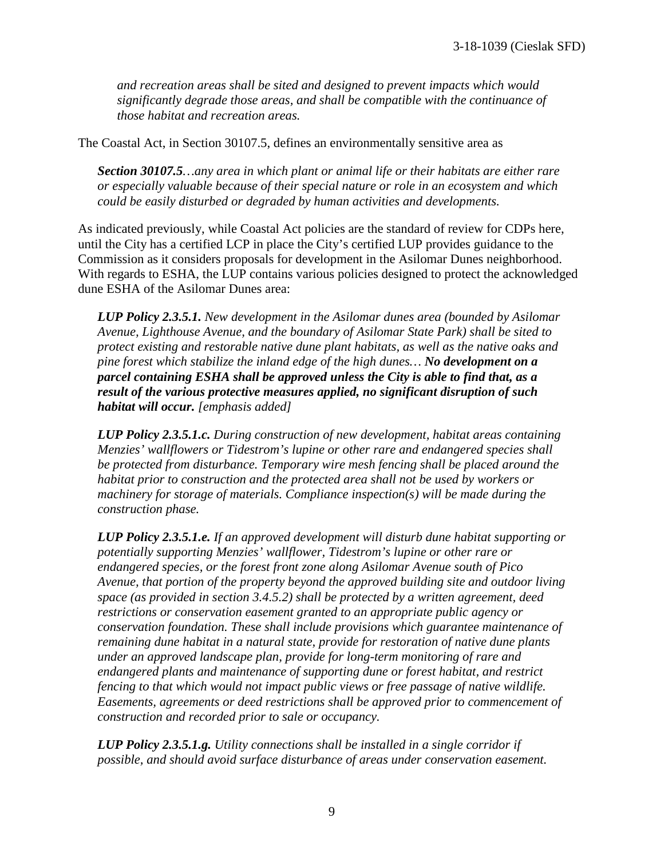*and recreation areas shall be sited and designed to prevent impacts which would significantly degrade those areas, and shall be compatible with the continuance of those habitat and recreation areas.*

The Coastal Act, in Section 30107.5, defines an environmentally sensitive area as

*Section 30107.5…any area in which plant or animal life or their habitats are either rare or especially valuable because of their special nature or role in an ecosystem and which could be easily disturbed or degraded by human activities and developments.* 

As indicated previously, while Coastal Act policies are the standard of review for CDPs here, until the City has a certified LCP in place the City's certified LUP provides guidance to the Commission as it considers proposals for development in the Asilomar Dunes neighborhood. With regards to ESHA, the LUP contains various policies designed to protect the acknowledged dune ESHA of the Asilomar Dunes area:

*LUP Policy 2.3.5.1. New development in the Asilomar dunes area (bounded by Asilomar Avenue, Lighthouse Avenue, and the boundary of Asilomar State Park) shall be sited to protect existing and restorable native dune plant habitats, as well as the native oaks and pine forest which stabilize the inland edge of the high dunes… No development on a parcel containing ESHA shall be approved unless the City is able to find that, as a result of the various protective measures applied, no significant disruption of such habitat will occur. [emphasis added]* 

*LUP Policy 2.3.5.1.c. During construction of new development, habitat areas containing Menzies' wallflowers or Tidestrom's lupine or other rare and endangered species shall be protected from disturbance. Temporary wire mesh fencing shall be placed around the habitat prior to construction and the protected area shall not be used by workers or machinery for storage of materials. Compliance inspection(s) will be made during the construction phase.*

*LUP Policy 2.3.5.1.e. If an approved development will disturb dune habitat supporting or potentially supporting Menzies' wallflower, Tidestrom's lupine or other rare or endangered species, or the forest front zone along Asilomar Avenue south of Pico Avenue, that portion of the property beyond the approved building site and outdoor living space (as provided in section 3.4.5.2) shall be protected by a written agreement, deed restrictions or conservation easement granted to an appropriate public agency or conservation foundation. These shall include provisions which guarantee maintenance of remaining dune habitat in a natural state, provide for restoration of native dune plants under an approved landscape plan, provide for long-term monitoring of rare and endangered plants and maintenance of supporting dune or forest habitat, and restrict fencing to that which would not impact public views or free passage of native wildlife. Easements, agreements or deed restrictions shall be approved prior to commencement of construction and recorded prior to sale or occupancy.* 

*LUP Policy 2.3.5.1.g. Utility connections shall be installed in a single corridor if possible, and should avoid surface disturbance of areas under conservation easement.*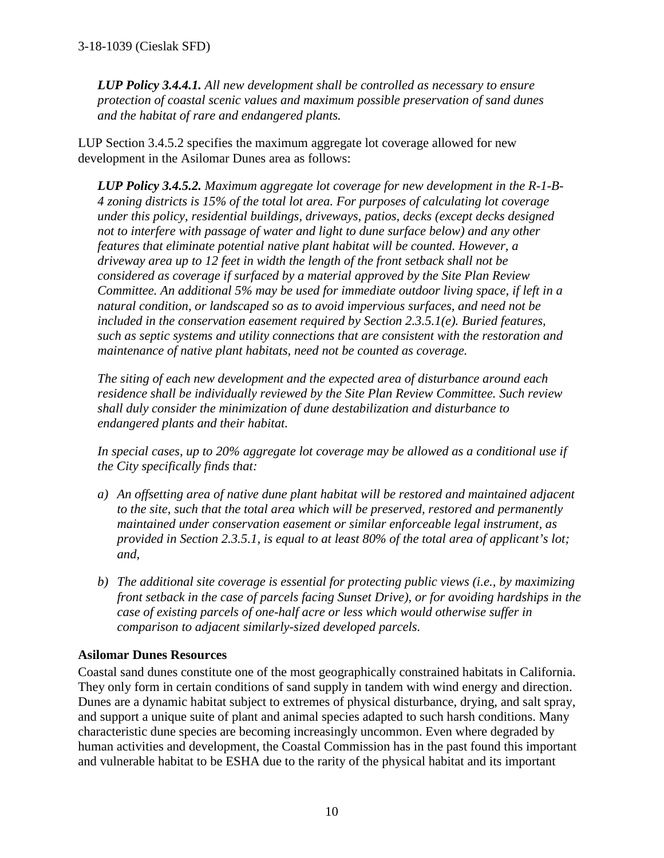*LUP Policy 3.4.4.1. All new development shall be controlled as necessary to ensure protection of coastal scenic values and maximum possible preservation of sand dunes and the habitat of rare and endangered plants.* 

LUP Section 3.4.5.2 specifies the maximum aggregate lot coverage allowed for new development in the Asilomar Dunes area as follows:

*LUP Policy 3.4.5.2. Maximum aggregate lot coverage for new development in the R-1-B-4 zoning districts is 15% of the total lot area. For purposes of calculating lot coverage under this policy, residential buildings, driveways, patios, decks (except decks designed not to interfere with passage of water and light to dune surface below) and any other features that eliminate potential native plant habitat will be counted. However, a driveway area up to 12 feet in width the length of the front setback shall not be considered as coverage if surfaced by a material approved by the Site Plan Review Committee. An additional 5% may be used for immediate outdoor living space, if left in a natural condition, or landscaped so as to avoid impervious surfaces, and need not be included in the conservation easement required by Section 2.3.5.1(e). Buried features, such as septic systems and utility connections that are consistent with the restoration and maintenance of native plant habitats, need not be counted as coverage.* 

*The siting of each new development and the expected area of disturbance around each residence shall be individually reviewed by the Site Plan Review Committee. Such review shall duly consider the minimization of dune destabilization and disturbance to endangered plants and their habitat.* 

*In special cases, up to 20% aggregate lot coverage may be allowed as a conditional use if the City specifically finds that:*

- *a) An offsetting area of native dune plant habitat will be restored and maintained adjacent to the site, such that the total area which will be preserved, restored and permanently maintained under conservation easement or similar enforceable legal instrument, as provided in Section 2.3.5.1, is equal to at least 80% of the total area of applicant's lot; and,*
- *b) The additional site coverage is essential for protecting public views (i.e., by maximizing front setback in the case of parcels facing Sunset Drive), or for avoiding hardships in the case of existing parcels of one-half acre or less which would otherwise suffer in comparison to adjacent similarly-sized developed parcels.*

### **Asilomar Dunes Resources**

Coastal sand dunes constitute one of the most geographically constrained habitats in California. They only form in certain conditions of sand supply in tandem with wind energy and direction. Dunes are a dynamic habitat subject to extremes of physical disturbance, drying, and salt spray, and support a unique suite of plant and animal species adapted to such harsh conditions. Many characteristic dune species are becoming increasingly uncommon. Even where degraded by human activities and development, the Coastal Commission has in the past found this important and vulnerable habitat to be ESHA due to the rarity of the physical habitat and its important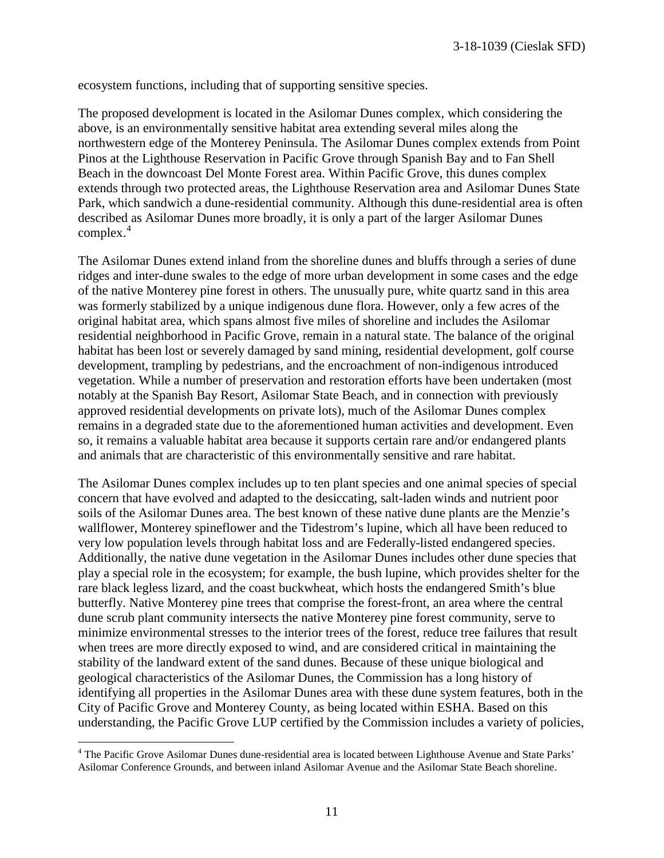ecosystem functions, including that of supporting sensitive species.

The proposed development is located in the Asilomar Dunes complex, which considering the above, is an environmentally sensitive habitat area extending several miles along the northwestern edge of the Monterey Peninsula. The Asilomar Dunes complex extends from Point Pinos at the Lighthouse Reservation in Pacific Grove through Spanish Bay and to Fan Shell Beach in the downcoast Del Monte Forest area. Within Pacific Grove, this dunes complex extends through two protected areas, the Lighthouse Reservation area and Asilomar Dunes State Park, which sandwich a dune-residential community. Although this dune-residential area is often described as Asilomar Dunes more broadly, it is only a part of the larger Asilomar Dunes  $complex.<sup>4</sup>$  $complex.<sup>4</sup>$  $complex.<sup>4</sup>$ 

The Asilomar Dunes extend inland from the shoreline dunes and bluffs through a series of dune ridges and inter-dune swales to the edge of more urban development in some cases and the edge of the native Monterey pine forest in others. The unusually pure, white quartz sand in this area was formerly stabilized by a unique indigenous dune flora. However, only a few acres of the original habitat area, which spans almost five miles of shoreline and includes the Asilomar residential neighborhood in Pacific Grove, remain in a natural state. The balance of the original habitat has been lost or severely damaged by sand mining, residential development, golf course development, trampling by pedestrians, and the encroachment of non-indigenous introduced vegetation. While a number of preservation and restoration efforts have been undertaken (most notably at the Spanish Bay Resort, Asilomar State Beach, and in connection with previously approved residential developments on private lots), much of the Asilomar Dunes complex remains in a degraded state due to the aforementioned human activities and development. Even so, it remains a valuable habitat area because it supports certain rare and/or endangered plants and animals that are characteristic of this environmentally sensitive and rare habitat.

The Asilomar Dunes complex includes up to ten plant species and one animal species of special concern that have evolved and adapted to the desiccating, salt-laden winds and nutrient poor soils of the Asilomar Dunes area. The best known of these native dune plants are the Menzie's wallflower, Monterey spineflower and the Tidestrom's lupine, which all have been reduced to very low population levels through habitat loss and are Federally-listed endangered species. Additionally, the native dune vegetation in the Asilomar Dunes includes other dune species that play a special role in the ecosystem; for example, the bush lupine, which provides shelter for the rare black legless lizard, and the coast buckwheat, which hosts the endangered Smith's blue butterfly. Native Monterey pine trees that comprise the forest-front, an area where the central dune scrub plant community intersects the native Monterey pine forest community, serve to minimize environmental stresses to the interior trees of the forest, reduce tree failures that result when trees are more directly exposed to wind, and are considered critical in maintaining the stability of the landward extent of the sand dunes. Because of these unique biological and geological characteristics of the Asilomar Dunes, the Commission has a long history of identifying all properties in the Asilomar Dunes area with these dune system features, both in the City of Pacific Grove and Monterey County, as being located within ESHA. Based on this understanding, the Pacific Grove LUP certified by the Commission includes a variety of policies,

 $\overline{a}$ 

<span id="page-10-0"></span><sup>4</sup> The Pacific Grove Asilomar Dunes dune-residential area is located between Lighthouse Avenue and State Parks' Asilomar Conference Grounds, and between inland Asilomar Avenue and the Asilomar State Beach shoreline.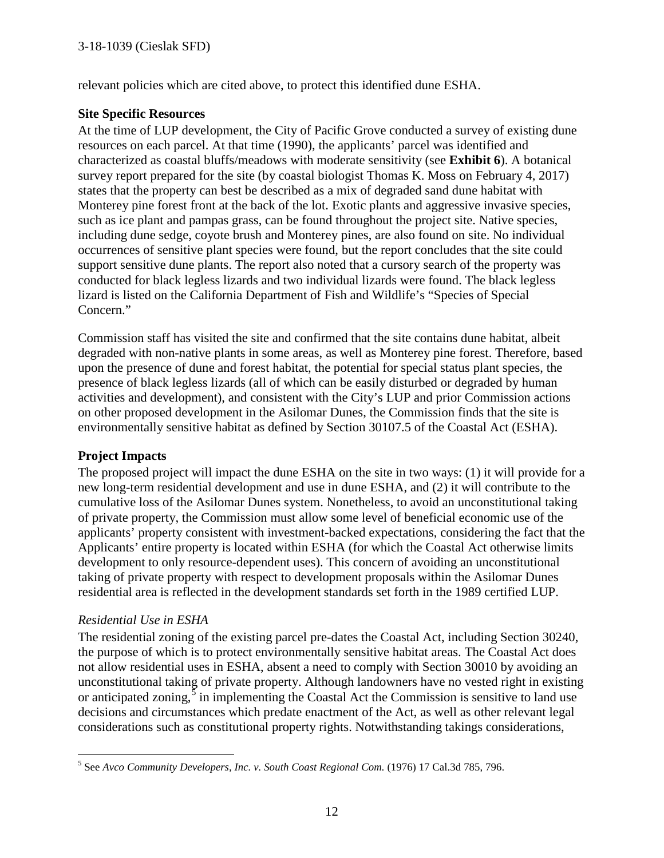relevant policies which are cited above, to protect this identified dune ESHA.

#### **Site Specific Resources**

At the time of LUP development, the City of Pacific Grove conducted a survey of existing dune resources on each parcel. At that time (1990), the applicants' parcel was identified and characterized as coastal bluffs/meadows with moderate sensitivity (see **Exhibit 6**). A botanical survey report prepared for the site (by coastal biologist Thomas K. Moss on February 4, 2017) states that the property can best be described as a mix of degraded sand dune habitat with Monterey pine forest front at the back of the lot. Exotic plants and aggressive invasive species, such as ice plant and pampas grass, can be found throughout the project site. Native species, including dune sedge, coyote brush and Monterey pines, are also found on site. No individual occurrences of sensitive plant species were found, but the report concludes that the site could support sensitive dune plants. The report also noted that a cursory search of the property was conducted for black legless lizards and two individual lizards were found. The black legless lizard is listed on the California Department of Fish and Wildlife's "Species of Special Concern."

Commission staff has visited the site and confirmed that the site contains dune habitat, albeit degraded with non-native plants in some areas, as well as Monterey pine forest. Therefore, based upon the presence of dune and forest habitat, the potential for special status plant species, the presence of black legless lizards (all of which can be easily disturbed or degraded by human activities and development), and consistent with the City's LUP and prior Commission actions on other proposed development in the Asilomar Dunes, the Commission finds that the site is environmentally sensitive habitat as defined by Section 30107.5 of the Coastal Act (ESHA).

### **Project Impacts**

The proposed project will impact the dune ESHA on the site in two ways: (1) it will provide for a new long-term residential development and use in dune ESHA, and (2) it will contribute to the cumulative loss of the Asilomar Dunes system. Nonetheless, to avoid an unconstitutional taking of private property, the Commission must allow some level of beneficial economic use of the applicants' property consistent with investment-backed expectations, considering the fact that the Applicants' entire property is located within ESHA (for which the Coastal Act otherwise limits development to only resource-dependent uses). This concern of avoiding an unconstitutional taking of private property with respect to development proposals within the Asilomar Dunes residential area is reflected in the development standards set forth in the 1989 certified LUP.

### *Residential Use in ESHA*

The residential zoning of the existing parcel pre-dates the Coastal Act, including Section 30240, the purpose of which is to protect environmentally sensitive habitat areas. The Coastal Act does not allow residential uses in ESHA, absent a need to comply with Section 30010 by avoiding an unconstitutional taking of private property. Although landowners have no vested right in existing or anticipated zoning, $5$  in implementing the Coastal Act the Commission is sensitive to land use decisions and circumstances which predate enactment of the Act, as well as other relevant legal considerations such as constitutional property rights. Notwithstanding takings considerations,

<span id="page-11-0"></span> $\overline{a}$ <sup>5</sup> See *Avco Community Developers, Inc. v. South Coast Regional Com.* (1976) 17 Cal.3d 785, 796.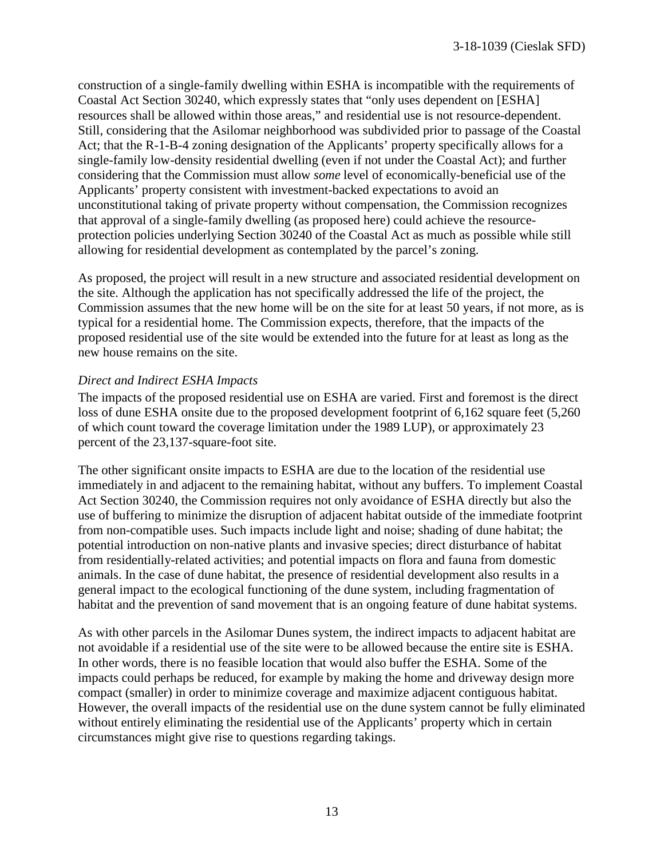construction of a single-family dwelling within ESHA is incompatible with the requirements of Coastal Act Section 30240, which expressly states that "only uses dependent on [ESHA] resources shall be allowed within those areas," and residential use is not resource-dependent. Still, considering that the Asilomar neighborhood was subdivided prior to passage of the Coastal Act; that the R-1-B-4 zoning designation of the Applicants' property specifically allows for a single-family low-density residential dwelling (even if not under the Coastal Act); and further considering that the Commission must allow *some* level of economically-beneficial use of the Applicants' property consistent with investment-backed expectations to avoid an unconstitutional taking of private property without compensation, the Commission recognizes that approval of a single-family dwelling (as proposed here) could achieve the resourceprotection policies underlying Section 30240 of the Coastal Act as much as possible while still allowing for residential development as contemplated by the parcel's zoning.

As proposed, the project will result in a new structure and associated residential development on the site. Although the application has not specifically addressed the life of the project, the Commission assumes that the new home will be on the site for at least 50 years, if not more, as is typical for a residential home. The Commission expects, therefore, that the impacts of the proposed residential use of the site would be extended into the future for at least as long as the new house remains on the site.

#### *Direct and Indirect ESHA Impacts*

The impacts of the proposed residential use on ESHA are varied. First and foremost is the direct loss of dune ESHA onsite due to the proposed development footprint of 6,162 square feet (5,260) of which count toward the coverage limitation under the 1989 LUP), or approximately 23 percent of the 23,137-square-foot site.

The other significant onsite impacts to ESHA are due to the location of the residential use immediately in and adjacent to the remaining habitat, without any buffers. To implement Coastal Act Section 30240, the Commission requires not only avoidance of ESHA directly but also the use of buffering to minimize the disruption of adjacent habitat outside of the immediate footprint from non-compatible uses. Such impacts include light and noise; shading of dune habitat; the potential introduction on non-native plants and invasive species; direct disturbance of habitat from residentially-related activities; and potential impacts on flora and fauna from domestic animals. In the case of dune habitat, the presence of residential development also results in a general impact to the ecological functioning of the dune system, including fragmentation of habitat and the prevention of sand movement that is an ongoing feature of dune habitat systems.

As with other parcels in the Asilomar Dunes system, the indirect impacts to adjacent habitat are not avoidable if a residential use of the site were to be allowed because the entire site is ESHA. In other words, there is no feasible location that would also buffer the ESHA. Some of the impacts could perhaps be reduced, for example by making the home and driveway design more compact (smaller) in order to minimize coverage and maximize adjacent contiguous habitat. However, the overall impacts of the residential use on the dune system cannot be fully eliminated without entirely eliminating the residential use of the Applicants' property which in certain circumstances might give rise to questions regarding takings.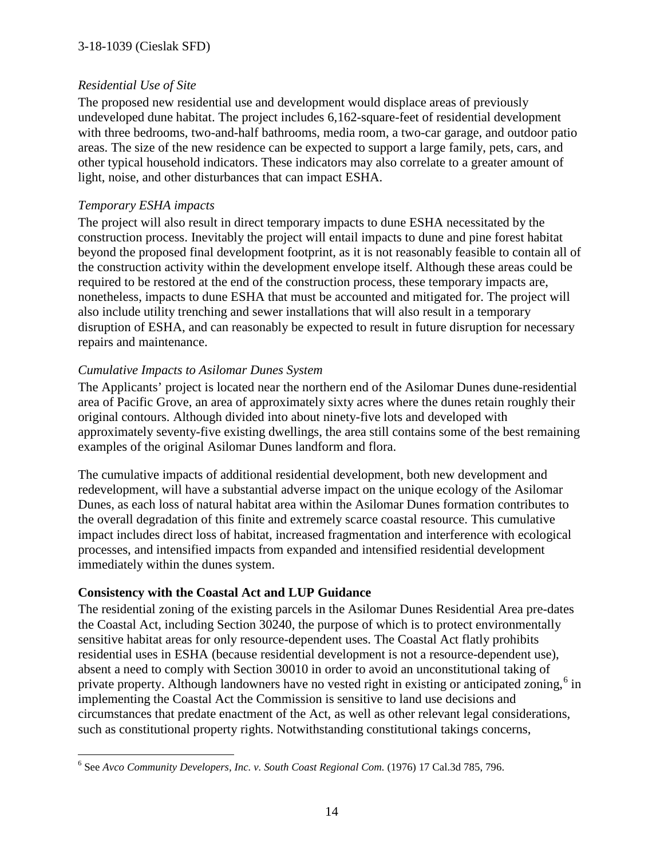#### 3-18-1039 (Cieslak SFD)

#### *Residential Use of Site*

The proposed new residential use and development would displace areas of previously undeveloped dune habitat. The project includes 6,162-square-feet of residential development with three bedrooms, two-and-half bathrooms, media room, a two-car garage, and outdoor patio areas. The size of the new residence can be expected to support a large family, pets, cars, and other typical household indicators. These indicators may also correlate to a greater amount of light, noise, and other disturbances that can impact ESHA.

#### *Temporary ESHA impacts*

The project will also result in direct temporary impacts to dune ESHA necessitated by the construction process. Inevitably the project will entail impacts to dune and pine forest habitat beyond the proposed final development footprint, as it is not reasonably feasible to contain all of the construction activity within the development envelope itself. Although these areas could be required to be restored at the end of the construction process, these temporary impacts are, nonetheless, impacts to dune ESHA that must be accounted and mitigated for. The project will also include utility trenching and sewer installations that will also result in a temporary disruption of ESHA, and can reasonably be expected to result in future disruption for necessary repairs and maintenance.

#### *Cumulative Impacts to Asilomar Dunes System*

The Applicants' project is located near the northern end of the Asilomar Dunes dune-residential area of Pacific Grove, an area of approximately sixty acres where the dunes retain roughly their original contours. Although divided into about ninety-five lots and developed with approximately seventy-five existing dwellings, the area still contains some of the best remaining examples of the original Asilomar Dunes landform and flora.

The cumulative impacts of additional residential development, both new development and redevelopment, will have a substantial adverse impact on the unique ecology of the Asilomar Dunes, as each loss of natural habitat area within the Asilomar Dunes formation contributes to the overall degradation of this finite and extremely scarce coastal resource. This cumulative impact includes direct loss of habitat, increased fragmentation and interference with ecological processes, and intensified impacts from expanded and intensified residential development immediately within the dunes system.

#### **Consistency with the Coastal Act and LUP Guidance**

The residential zoning of the existing parcels in the Asilomar Dunes Residential Area pre-dates the Coastal Act, including Section 30240, the purpose of which is to protect environmentally sensitive habitat areas for only resource-dependent uses. The Coastal Act flatly prohibits residential uses in ESHA (because residential development is not a resource-dependent use), absent a need to comply with Section 30010 in order to avoid an unconstitutional taking of private property. Although landowners have no vested right in existing or anticipated zoning,<sup>[6](#page-13-0)</sup> in implementing the Coastal Act the Commission is sensitive to land use decisions and circumstances that predate enactment of the Act, as well as other relevant legal considerations, such as constitutional property rights. Notwithstanding constitutional takings concerns,

<span id="page-13-0"></span> $\overline{a}$ <sup>6</sup> See *Avco Community Developers, Inc. v. South Coast Regional Com.* (1976) 17 Cal.3d 785, 796.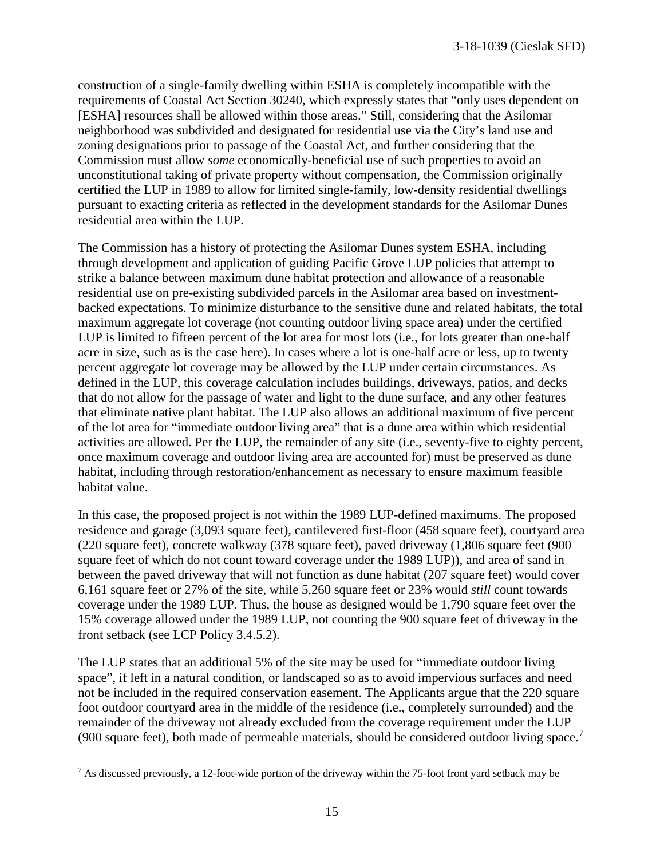construction of a single-family dwelling within ESHA is completely incompatible with the requirements of Coastal Act Section 30240, which expressly states that "only uses dependent on [ESHA] resources shall be allowed within those areas." Still, considering that the Asilomar neighborhood was subdivided and designated for residential use via the City's land use and zoning designations prior to passage of the Coastal Act, and further considering that the Commission must allow *some* economically-beneficial use of such properties to avoid an unconstitutional taking of private property without compensation, the Commission originally certified the LUP in 1989 to allow for limited single-family, low-density residential dwellings pursuant to exacting criteria as reflected in the development standards for the Asilomar Dunes residential area within the LUP.

The Commission has a history of protecting the Asilomar Dunes system ESHA, including through development and application of guiding Pacific Grove LUP policies that attempt to strike a balance between maximum dune habitat protection and allowance of a reasonable residential use on pre-existing subdivided parcels in the Asilomar area based on investmentbacked expectations. To minimize disturbance to the sensitive dune and related habitats, the total maximum aggregate lot coverage (not counting outdoor living space area) under the certified LUP is limited to fifteen percent of the lot area for most lots (i.e., for lots greater than one-half acre in size, such as is the case here). In cases where a lot is one-half acre or less, up to twenty percent aggregate lot coverage may be allowed by the LUP under certain circumstances. As defined in the LUP, this coverage calculation includes buildings, driveways, patios, and decks that do not allow for the passage of water and light to the dune surface, and any other features that eliminate native plant habitat. The LUP also allows an additional maximum of five percent of the lot area for "immediate outdoor living area" that is a dune area within which residential activities are allowed. Per the LUP, the remainder of any site (i.e., seventy-five to eighty percent, once maximum coverage and outdoor living area are accounted for) must be preserved as dune habitat, including through restoration/enhancement as necessary to ensure maximum feasible habitat value.

In this case, the proposed project is not within the 1989 LUP-defined maximums. The proposed residence and garage (3,093 square feet), cantilevered first-floor (458 square feet), courtyard area (220 square feet), concrete walkway (378 square feet), paved driveway (1,806 square feet (900 square feet of which do not count toward coverage under the 1989 LUP)), and area of sand in between the paved driveway that will not function as dune habitat (207 square feet) would cover 6,161 square feet or 27% of the site, while 5,260 square feet or 23% would *still* count towards coverage under the 1989 LUP. Thus, the house as designed would be 1,790 square feet over the 15% coverage allowed under the 1989 LUP, not counting the 900 square feet of driveway in the front setback (see LCP Policy 3.4.5.2).

The LUP states that an additional 5% of the site may be used for "immediate outdoor living space", if left in a natural condition, or landscaped so as to avoid impervious surfaces and need not be included in the required conservation easement. The Applicants argue that the 220 square foot outdoor courtyard area in the middle of the residence (i.e., completely surrounded) and the remainder of the driveway not already excluded from the coverage requirement under the LUP (900 square feet), both made of permeable materials, should be considered outdoor living space.<sup>[7](#page-14-0)</sup>

 $\overline{a}$ 

<span id="page-14-0"></span> $^7$  As discussed previously, a 12-foot-wide portion of the driveway within the 75-foot front yard setback may be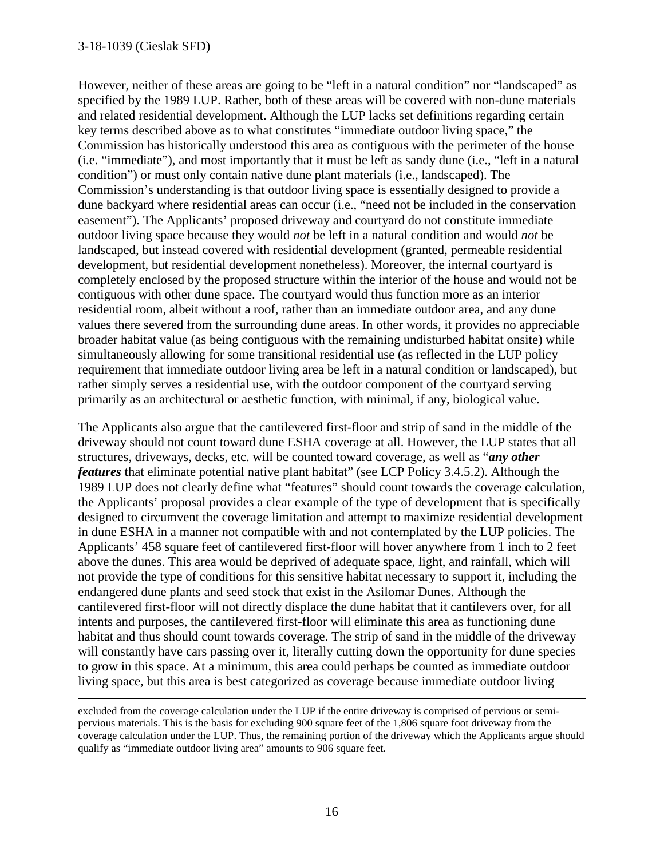$\overline{a}$ 

However, neither of these areas are going to be "left in a natural condition" nor "landscaped" as specified by the 1989 LUP. Rather, both of these areas will be covered with non-dune materials and related residential development. Although the LUP lacks set definitions regarding certain key terms described above as to what constitutes "immediate outdoor living space," the Commission has historically understood this area as contiguous with the perimeter of the house (i.e. "immediate"), and most importantly that it must be left as sandy dune (i.e., "left in a natural condition") or must only contain native dune plant materials (i.e., landscaped). The Commission's understanding is that outdoor living space is essentially designed to provide a dune backyard where residential areas can occur (i.e., "need not be included in the conservation easement"). The Applicants' proposed driveway and courtyard do not constitute immediate outdoor living space because they would *not* be left in a natural condition and would *not* be landscaped, but instead covered with residential development (granted, permeable residential development, but residential development nonetheless). Moreover, the internal courtyard is completely enclosed by the proposed structure within the interior of the house and would not be contiguous with other dune space. The courtyard would thus function more as an interior residential room, albeit without a roof, rather than an immediate outdoor area, and any dune values there severed from the surrounding dune areas. In other words, it provides no appreciable broader habitat value (as being contiguous with the remaining undisturbed habitat onsite) while simultaneously allowing for some transitional residential use (as reflected in the LUP policy requirement that immediate outdoor living area be left in a natural condition or landscaped), but rather simply serves a residential use, with the outdoor component of the courtyard serving primarily as an architectural or aesthetic function, with minimal, if any, biological value.

The Applicants also argue that the cantilevered first-floor and strip of sand in the middle of the driveway should not count toward dune ESHA coverage at all. However, the LUP states that all structures, driveways, decks, etc. will be counted toward coverage, as well as "*any other features* that eliminate potential native plant habitat" (see LCP Policy 3.4.5.2). Although the 1989 LUP does not clearly define what "features" should count towards the coverage calculation, the Applicants' proposal provides a clear example of the type of development that is specifically designed to circumvent the coverage limitation and attempt to maximize residential development in dune ESHA in a manner not compatible with and not contemplated by the LUP policies. The Applicants' 458 square feet of cantilevered first-floor will hover anywhere from 1 inch to 2 feet above the dunes. This area would be deprived of adequate space, light, and rainfall, which will not provide the type of conditions for this sensitive habitat necessary to support it, including the endangered dune plants and seed stock that exist in the Asilomar Dunes. Although the cantilevered first-floor will not directly displace the dune habitat that it cantilevers over, for all intents and purposes, the cantilevered first-floor will eliminate this area as functioning dune habitat and thus should count towards coverage. The strip of sand in the middle of the driveway will constantly have cars passing over it, literally cutting down the opportunity for dune species to grow in this space. At a minimum, this area could perhaps be counted as immediate outdoor living space, but this area is best categorized as coverage because immediate outdoor living

excluded from the coverage calculation under the LUP if the entire driveway is comprised of pervious or semipervious materials. This is the basis for excluding 900 square feet of the 1,806 square foot driveway from the coverage calculation under the LUP. Thus, the remaining portion of the driveway which the Applicants argue should qualify as "immediate outdoor living area" amounts to 906 square feet.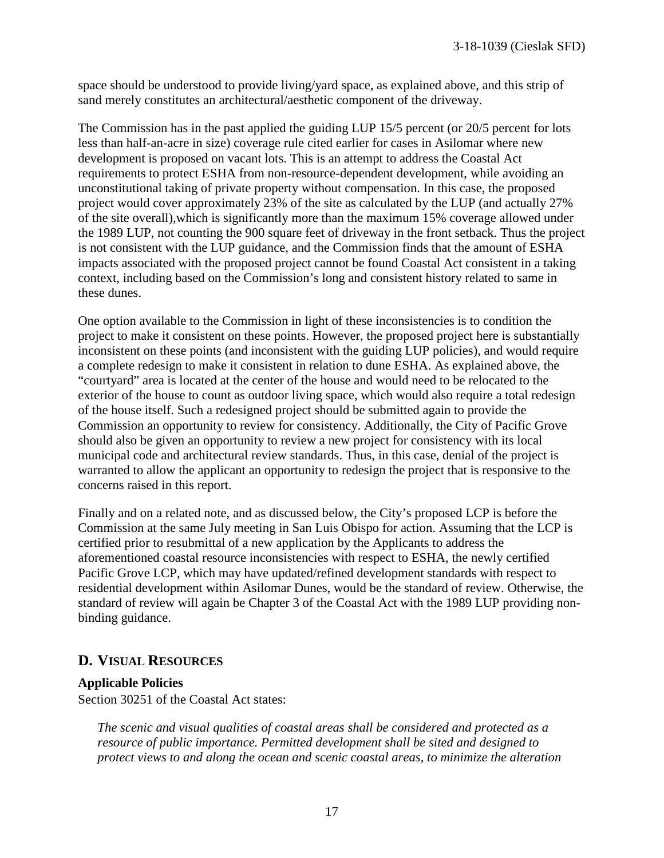space should be understood to provide living/yard space, as explained above, and this strip of sand merely constitutes an architectural/aesthetic component of the driveway.

The Commission has in the past applied the guiding LUP 15/5 percent (or 20/5 percent for lots less than half-an-acre in size) coverage rule cited earlier for cases in Asilomar where new development is proposed on vacant lots. This is an attempt to address the Coastal Act requirements to protect ESHA from non-resource-dependent development, while avoiding an unconstitutional taking of private property without compensation. In this case, the proposed project would cover approximately 23% of the site as calculated by the LUP (and actually 27% of the site overall),which is significantly more than the maximum 15% coverage allowed under the 1989 LUP, not counting the 900 square feet of driveway in the front setback. Thus the project is not consistent with the LUP guidance, and the Commission finds that the amount of ESHA impacts associated with the proposed project cannot be found Coastal Act consistent in a taking context, including based on the Commission's long and consistent history related to same in these dunes.

One option available to the Commission in light of these inconsistencies is to condition the project to make it consistent on these points. However, the proposed project here is substantially inconsistent on these points (and inconsistent with the guiding LUP policies), and would require a complete redesign to make it consistent in relation to dune ESHA. As explained above, the "courtyard" area is located at the center of the house and would need to be relocated to the exterior of the house to count as outdoor living space, which would also require a total redesign of the house itself. Such a redesigned project should be submitted again to provide the Commission an opportunity to review for consistency. Additionally, the City of Pacific Grove should also be given an opportunity to review a new project for consistency with its local municipal code and architectural review standards. Thus, in this case, denial of the project is warranted to allow the applicant an opportunity to redesign the project that is responsive to the concerns raised in this report.

Finally and on a related note, and as discussed below, the City's proposed LCP is before the Commission at the same July meeting in San Luis Obispo for action. Assuming that the LCP is certified prior to resubmittal of a new application by the Applicants to address the aforementioned coastal resource inconsistencies with respect to ESHA, the newly certified Pacific Grove LCP, which may have updated/refined development standards with respect to residential development within Asilomar Dunes, would be the standard of review. Otherwise, the standard of review will again be Chapter 3 of the Coastal Act with the 1989 LUP providing nonbinding guidance.

### **D. VISUAL RESOURCES**

#### **Applicable Policies**

Section 30251 of the Coastal Act states:

*The scenic and visual qualities of coastal areas shall be considered and protected as a resource of public importance. Permitted development shall be sited and designed to protect views to and along the ocean and scenic coastal areas, to minimize the alteration*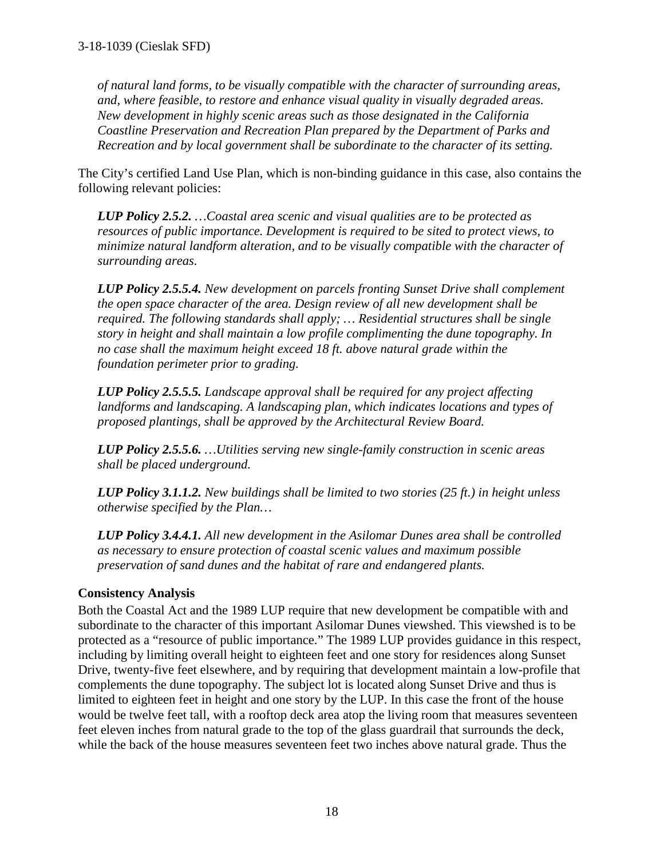*of natural land forms, to be visually compatible with the character of surrounding areas, and, where feasible, to restore and enhance visual quality in visually degraded areas. New development in highly scenic areas such as those designated in the California Coastline Preservation and Recreation Plan prepared by the Department of Parks and Recreation and by local government shall be subordinate to the character of its setting.* 

The City's certified Land Use Plan, which is non-binding guidance in this case, also contains the following relevant policies:

*LUP Policy 2.5.2. …Coastal area scenic and visual qualities are to be protected as resources of public importance. Development is required to be sited to protect views, to minimize natural landform alteration, and to be visually compatible with the character of surrounding areas.* 

*LUP Policy 2.5.5.4. New development on parcels fronting Sunset Drive shall complement the open space character of the area. Design review of all new development shall be required. The following standards shall apply; … Residential structures shall be single story in height and shall maintain a low profile complimenting the dune topography. In no case shall the maximum height exceed 18 ft. above natural grade within the foundation perimeter prior to grading.* 

*LUP Policy 2.5.5.5. Landscape approval shall be required for any project affecting landforms and landscaping. A landscaping plan, which indicates locations and types of proposed plantings, shall be approved by the Architectural Review Board.* 

*LUP Policy 2.5.5.6. …Utilities serving new single-family construction in scenic areas shall be placed underground.* 

*LUP Policy 3.1.1.2. New buildings shall be limited to two stories (25 ft.) in height unless otherwise specified by the Plan…*

*LUP Policy 3.4.4.1. All new development in the Asilomar Dunes area shall be controlled as necessary to ensure protection of coastal scenic values and maximum possible preservation of sand dunes and the habitat of rare and endangered plants.* 

#### **Consistency Analysis**

Both the Coastal Act and the 1989 LUP require that new development be compatible with and subordinate to the character of this important Asilomar Dunes viewshed. This viewshed is to be protected as a "resource of public importance." The 1989 LUP provides guidance in this respect, including by limiting overall height to eighteen feet and one story for residences along Sunset Drive, twenty-five feet elsewhere, and by requiring that development maintain a low-profile that complements the dune topography. The subject lot is located along Sunset Drive and thus is limited to eighteen feet in height and one story by the LUP. In this case the front of the house would be twelve feet tall, with a rooftop deck area atop the living room that measures seventeen feet eleven inches from natural grade to the top of the glass guardrail that surrounds the deck, while the back of the house measures seventeen feet two inches above natural grade. Thus the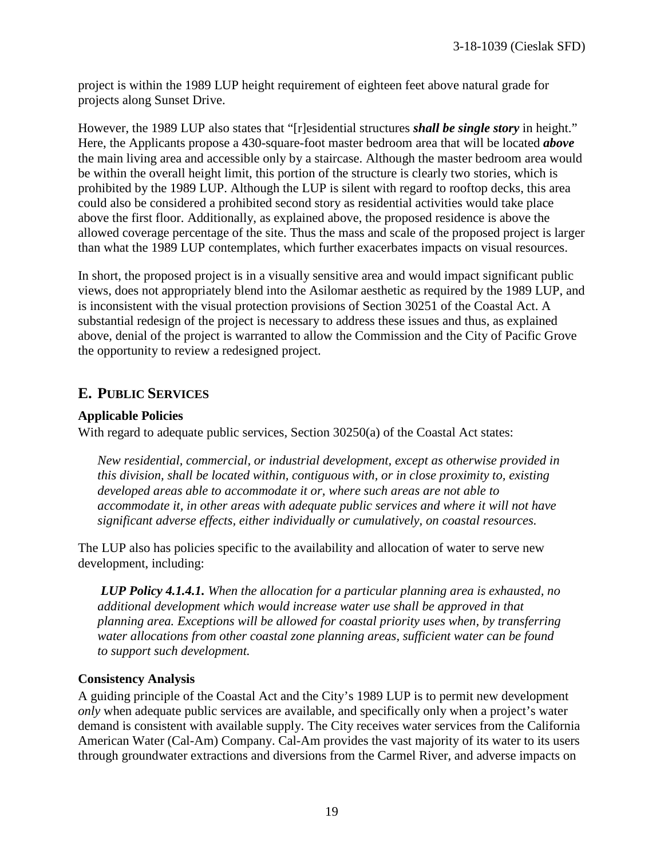project is within the 1989 LUP height requirement of eighteen feet above natural grade for projects along Sunset Drive.

However, the 1989 LUP also states that "[r]esidential structures *shall be single story* in height." Here, the Applicants propose a 430-square-foot master bedroom area that will be located *above* the main living area and accessible only by a staircase. Although the master bedroom area would be within the overall height limit, this portion of the structure is clearly two stories, which is prohibited by the 1989 LUP. Although the LUP is silent with regard to rooftop decks, this area could also be considered a prohibited second story as residential activities would take place above the first floor. Additionally, as explained above, the proposed residence is above the allowed coverage percentage of the site. Thus the mass and scale of the proposed project is larger than what the 1989 LUP contemplates, which further exacerbates impacts on visual resources.

In short, the proposed project is in a visually sensitive area and would impact significant public views, does not appropriately blend into the Asilomar aesthetic as required by the 1989 LUP, and is inconsistent with the visual protection provisions of Section 30251 of the Coastal Act. A substantial redesign of the project is necessary to address these issues and thus, as explained above, denial of the project is warranted to allow the Commission and the City of Pacific Grove the opportunity to review a redesigned project.

## **E. PUBLIC SERVICES**

#### **Applicable Policies**

With regard to adequate public services, Section 30250(a) of the Coastal Act states:

*New residential, commercial, or industrial development, except as otherwise provided in this division, shall be located within, contiguous with, or in close proximity to, existing developed areas able to accommodate it or, where such areas are not able to accommodate it, in other areas with adequate public services and where it will not have significant adverse effects, either individually or cumulatively, on coastal resources.* 

The LUP also has policies specific to the availability and allocation of water to serve new development, including:

*LUP Policy 4.1.4.1. When the allocation for a particular planning area is exhausted, no additional development which would increase water use shall be approved in that planning area. Exceptions will be allowed for coastal priority uses when, by transferring water allocations from other coastal zone planning areas, sufficient water can be found to support such development.* 

#### **Consistency Analysis**

A guiding principle of the Coastal Act and the City's 1989 LUP is to permit new development *only* when adequate public services are available, and specifically only when a project's water demand is consistent with available supply. The City receives water services from the California American Water (Cal-Am) Company. Cal-Am provides the vast majority of its water to its users through groundwater extractions and diversions from the Carmel River, and adverse impacts on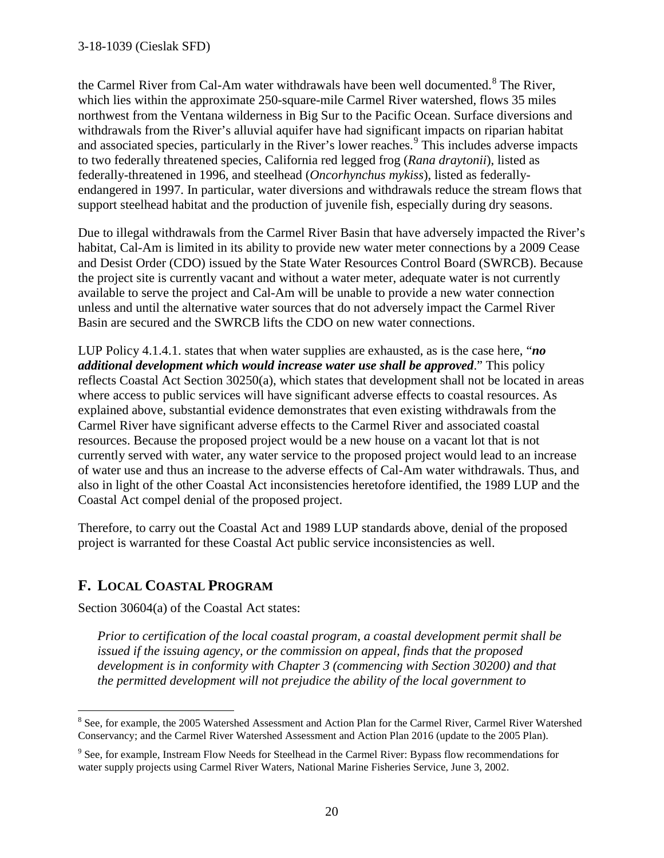the Carmel River from Cal-Am water withdrawals have been well documented.<sup>[8](#page-19-0)</sup> The River, which lies within the approximate 250-square-mile Carmel River watershed, flows 35 miles northwest from the Ventana wilderness in Big Sur to the Pacific Ocean. Surface diversions and withdrawals from the River's alluvial aquifer have had significant impacts on riparian habitat and associated species, particularly in the River's lower reaches.<sup>[9](#page-19-1)</sup> This includes adverse impacts to two federally threatened species, California red legged frog (*Rana draytonii*), listed as federally-threatened in 1996, and steelhead (*Oncorhynchus mykiss*), listed as federallyendangered in 1997. In particular, water diversions and withdrawals reduce the stream flows that support steelhead habitat and the production of juvenile fish, especially during dry seasons.

Due to illegal withdrawals from the Carmel River Basin that have adversely impacted the River's habitat, Cal-Am is limited in its ability to provide new water meter connections by a 2009 Cease and Desist Order (CDO) issued by the State Water Resources Control Board (SWRCB). Because the project site is currently vacant and without a water meter, adequate water is not currently available to serve the project and Cal-Am will be unable to provide a new water connection unless and until the alternative water sources that do not adversely impact the Carmel River Basin are secured and the SWRCB lifts the CDO on new water connections.

LUP Policy 4.1.4.1. states that when water supplies are exhausted, as is the case here, "*no additional development which would increase water use shall be approved*." This policy reflects Coastal Act Section 30250(a), which states that development shall not be located in areas where access to public services will have significant adverse effects to coastal resources. As explained above, substantial evidence demonstrates that even existing withdrawals from the Carmel River have significant adverse effects to the Carmel River and associated coastal resources. Because the proposed project would be a new house on a vacant lot that is not currently served with water, any water service to the proposed project would lead to an increase of water use and thus an increase to the adverse effects of Cal-Am water withdrawals. Thus, and also in light of the other Coastal Act inconsistencies heretofore identified, the 1989 LUP and the Coastal Act compel denial of the proposed project.

Therefore, to carry out the Coastal Act and 1989 LUP standards above, denial of the proposed project is warranted for these Coastal Act public service inconsistencies as well.

# **F. LOCAL COASTAL PROGRAM**

Section 30604(a) of the Coastal Act states:

*Prior to certification of the local coastal program, a coastal development permit shall be issued if the issuing agency, or the commission on appeal, finds that the proposed development is in conformity with Chapter 3 (commencing with Section 30200) and that the permitted development will not prejudice the ability of the local government to* 

<span id="page-19-0"></span> $\overline{a}$ <sup>8</sup> See, for example, the 2005 Watershed Assessment and Action Plan for the Carmel River, Carmel River Watershed Conservancy; and the Carmel River Watershed Assessment and Action Plan 2016 (update to the 2005 Plan).

<span id="page-19-1"></span><sup>9</sup> See, for example, Instream Flow Needs for Steelhead in the Carmel River: Bypass flow recommendations for water supply projects using Carmel River Waters, National Marine Fisheries Service, June 3, 2002.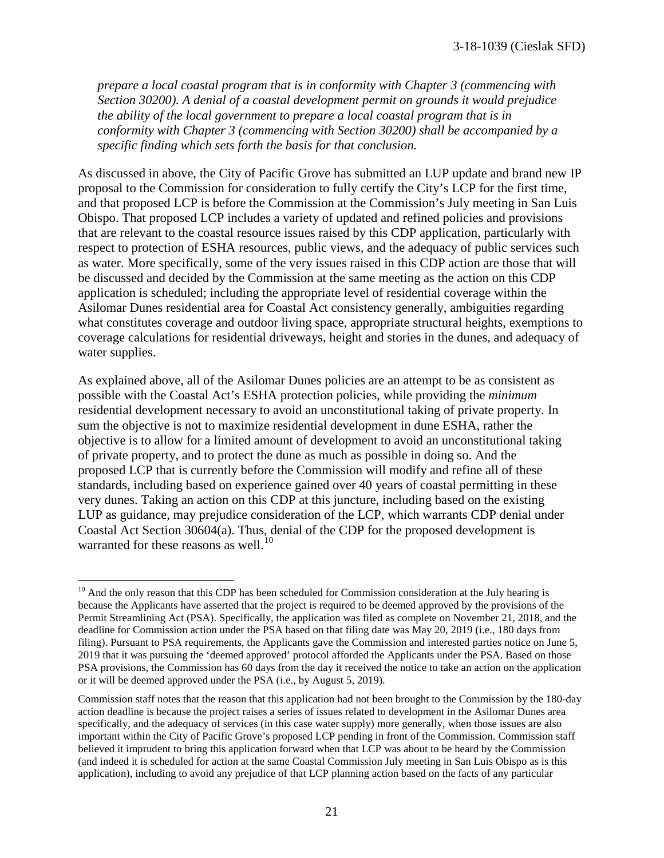*prepare a local coastal program that is in conformity with Chapter 3 (commencing with Section 30200). A denial of a coastal development permit on grounds it would prejudice the ability of the local government to prepare a local coastal program that is in conformity with Chapter 3 (commencing with Section 30200) shall be accompanied by a specific finding which sets forth the basis for that conclusion.* 

As discussed in above, the City of Pacific Grove has submitted an LUP update and brand new IP proposal to the Commission for consideration to fully certify the City's LCP for the first time, and that proposed LCP is before the Commission at the Commission's July meeting in San Luis Obispo. That proposed LCP includes a variety of updated and refined policies and provisions that are relevant to the coastal resource issues raised by this CDP application, particularly with respect to protection of ESHA resources, public views, and the adequacy of public services such as water. More specifically, some of the very issues raised in this CDP action are those that will be discussed and decided by the Commission at the same meeting as the action on this CDP application is scheduled; including the appropriate level of residential coverage within the Asilomar Dunes residential area for Coastal Act consistency generally, ambiguities regarding what constitutes coverage and outdoor living space, appropriate structural heights, exemptions to coverage calculations for residential driveways, height and stories in the dunes, and adequacy of water supplies.

As explained above, all of the Asilomar Dunes policies are an attempt to be as consistent as possible with the Coastal Act's ESHA protection policies, while providing the *minimum* residential development necessary to avoid an unconstitutional taking of private property. In sum the objective is not to maximize residential development in dune ESHA, rather the objective is to allow for a limited amount of development to avoid an unconstitutional taking of private property, and to protect the dune as much as possible in doing so. And the proposed LCP that is currently before the Commission will modify and refine all of these standards, including based on experience gained over 40 years of coastal permitting in these very dunes. Taking an action on this CDP at this juncture, including based on the existing LUP as guidance, may prejudice consideration of the LCP, which warrants CDP denial under Coastal Act Section 30604(a). Thus, denial of the CDP for the proposed development is warranted for these reasons as well. $^{10}$  $^{10}$  $^{10}$ 

 $\overline{a}$ 

<span id="page-20-0"></span> $10$  And the only reason that this CDP has been scheduled for Commission consideration at the July hearing is because the Applicants have asserted that the project is required to be deemed approved by the provisions of the Permit Streamlining Act (PSA). Specifically, the application was filed as complete on November 21, 2018, and the deadline for Commission action under the PSA based on that filing date was May 20, 2019 (i.e., 180 days from filing). Pursuant to PSA requirements, the Applicants gave the Commission and interested parties notice on June 5, 2019 that it was pursuing the 'deemed approved' protocol afforded the Applicants under the PSA. Based on those PSA provisions, the Commission has 60 days from the day it received the notice to take an action on the application or it will be deemed approved under the PSA (i.e., by August 5, 2019).

Commission staff notes that the reason that this application had not been brought to the Commission by the 180-day action deadline is because the project raises a series of issues related to development in the Asilomar Dunes area specifically, and the adequacy of services (in this case water supply) more generally, when those issues are also important within the City of Pacific Grove's proposed LCP pending in front of the Commission. Commission staff believed it imprudent to bring this application forward when that LCP was about to be heard by the Commission (and indeed it is scheduled for action at the same Coastal Commission July meeting in San Luis Obispo as is this application), including to avoid any prejudice of that LCP planning action based on the facts of any particular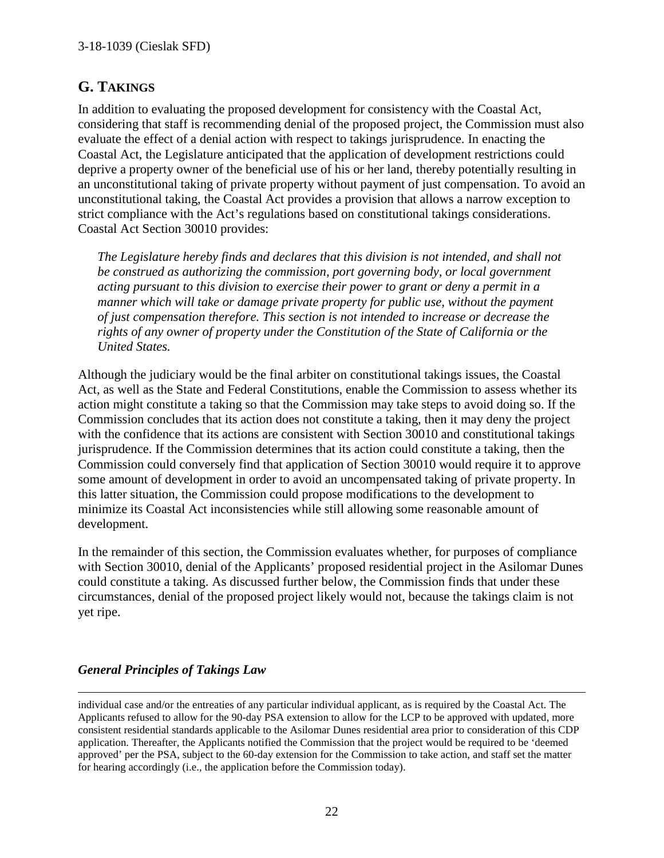### **G. TAKINGS**

In addition to evaluating the proposed development for consistency with the Coastal Act, considering that staff is recommending denial of the proposed project, the Commission must also evaluate the effect of a denial action with respect to takings jurisprudence. In enacting the Coastal Act, the Legislature anticipated that the application of development restrictions could deprive a property owner of the beneficial use of his or her land, thereby potentially resulting in an unconstitutional taking of private property without payment of just compensation. To avoid an unconstitutional taking, the Coastal Act provides a provision that allows a narrow exception to strict compliance with the Act's regulations based on constitutional takings considerations. Coastal Act Section 30010 provides:

*The Legislature hereby finds and declares that this division is not intended, and shall not be construed as authorizing the commission, port governing body, or local government acting pursuant to this division to exercise their power to grant or deny a permit in a manner which will take or damage private property for public use, without the payment of just compensation therefore. This section is not intended to increase or decrease the rights of any owner of property under the Constitution of the State of California or the United States.* 

Although the judiciary would be the final arbiter on constitutional takings issues, the Coastal Act, as well as the State and Federal Constitutions, enable the Commission to assess whether its action might constitute a taking so that the Commission may take steps to avoid doing so. If the Commission concludes that its action does not constitute a taking, then it may deny the project with the confidence that its actions are consistent with Section 30010 and constitutional takings jurisprudence. If the Commission determines that its action could constitute a taking, then the Commission could conversely find that application of Section 30010 would require it to approve some amount of development in order to avoid an uncompensated taking of private property. In this latter situation, the Commission could propose modifications to the development to minimize its Coastal Act inconsistencies while still allowing some reasonable amount of development.

In the remainder of this section, the Commission evaluates whether, for purposes of compliance with Section 30010, denial of the Applicants' proposed residential project in the Asilomar Dunes could constitute a taking. As discussed further below, the Commission finds that under these circumstances, denial of the proposed project likely would not, because the takings claim is not yet ripe.

#### *General Principles of Takings Law*

 $\overline{a}$ 

individual case and/or the entreaties of any particular individual applicant, as is required by the Coastal Act. The Applicants refused to allow for the 90-day PSA extension to allow for the LCP to be approved with updated, more consistent residential standards applicable to the Asilomar Dunes residential area prior to consideration of this CDP application. Thereafter, the Applicants notified the Commission that the project would be required to be 'deemed approved' per the PSA, subject to the 60-day extension for the Commission to take action, and staff set the matter for hearing accordingly (i.e., the application before the Commission today).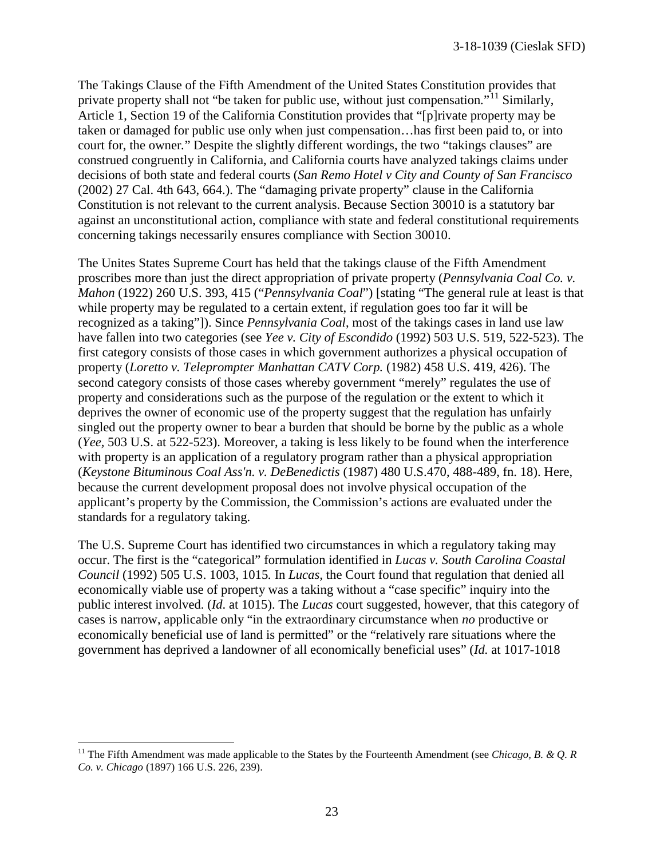The Takings Clause of the Fifth Amendment of the United States Constitution provides that private property shall not "be taken for public use, without just compensation*.*"[11](#page-22-0) Similarly, Article 1, Section 19 of the California Constitution provides that "[p]rivate property may be taken or damaged for public use only when just compensation…has first been paid to, or into court for, the owner*.*" Despite the slightly different wordings, the two "takings clauses" are construed congruently in California, and California courts have analyzed takings claims under decisions of both state and federal courts (*San Remo Hotel v City and County of San Francisco* (2002) 27 Cal. 4th 643, 664.). The "damaging private property" clause in the California Constitution is not relevant to the current analysis. Because Section 30010 is a statutory bar against an unconstitutional action, compliance with state and federal constitutional requirements concerning takings necessarily ensures compliance with Section 30010.

The Unites States Supreme Court has held that the takings clause of the Fifth Amendment proscribes more than just the direct appropriation of private property (*Pennsylvania Coal Co. v. Mahon* (1922) 260 U.S. 393, 415 ("*Pennsylvania Coal*") [stating "The general rule at least is that while property may be regulated to a certain extent, if regulation goes too far it will be recognized as a taking"]). Since *Pennsylvania Coal*, most of the takings cases in land use law have fallen into two categories (see *Yee v. City of Escondido* (1992) 503 U.S. 519, 522-523). The first category consists of those cases in which government authorizes a physical occupation of property (*Loretto v. Teleprompter Manhattan CATV Corp.* (1982) 458 U.S. 419, 426). The second category consists of those cases whereby government "merely" regulates the use of property and considerations such as the purpose of the regulation or the extent to which it deprives the owner of economic use of the property suggest that the regulation has unfairly singled out the property owner to bear a burden that should be borne by the public as a whole (*Yee,* 503 U.S. at 522-523). Moreover, a taking is less likely to be found when the interference with property is an application of a regulatory program rather than a physical appropriation (*Keystone Bituminous Coal Ass'n. v. DeBenedictis* (1987) 480 U.S.470, 488-489, fn. 18). Here, because the current development proposal does not involve physical occupation of the applicant's property by the Commission, the Commission's actions are evaluated under the standards for a regulatory taking.

The U.S. Supreme Court has identified two circumstances in which a regulatory taking may occur. The first is the "categorical" formulation identified in *Lucas v. South Carolina Coastal Council* (1992) 505 U.S. 1003, 1015*.* In *Lucas,* the Court found that regulation that denied all economically viable use of property was a taking without a "case specific" inquiry into the public interest involved. (*Id*. at 1015). The *Lucas* court suggested, however, that this category of cases is narrow, applicable only "in the extraordinary circumstance when *no* productive or economically beneficial use of land is permitted" or the "relatively rare situations where the government has deprived a landowner of all economically beneficial uses" (*Id.* at 1017-1018

 $\overline{a}$ 

<span id="page-22-0"></span><sup>&</sup>lt;sup>11</sup> The Fifth Amendment was made applicable to the States by the Fourteenth Amendment (see *Chicago, B. & O. R*) *Co. v. Chicago* (1897) 166 U.S. 226, 239).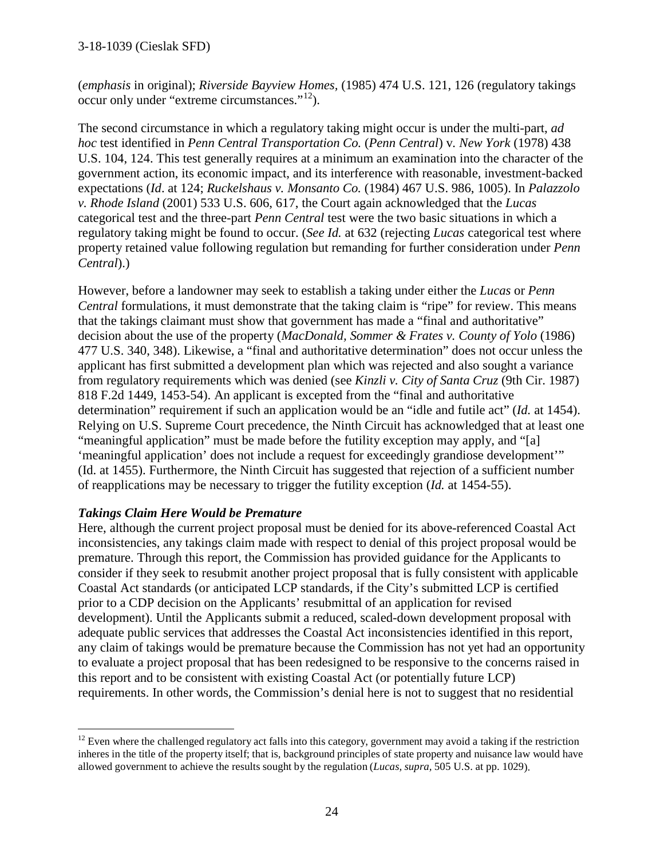#### 3-18-1039 (Cieslak SFD)

(*emphasis* in original); *Riverside Bayview Homes,* (1985) 474 U.S. 121, 126 (regulatory takings occur only under "extreme circumstances."[12](#page-23-0)).

The second circumstance in which a regulatory taking might occur is under the multi-part, *ad hoc* test identified in *Penn Central Transportation Co.* (*Penn Central*) v*. New York* (1978) 438 U.S. 104, 124. This test generally requires at a minimum an examination into the character of the government action, its economic impact, and its interference with reasonable, investment-backed expectations (*Id*. at 124; *Ruckelshaus v. Monsanto Co.* (1984) 467 U.S. 986, 1005). In *Palazzolo v. Rhode Island* (2001) 533 U.S. 606, 617, the Court again acknowledged that the *Lucas*  categorical test and the three-part *Penn Central* test were the two basic situations in which a regulatory taking might be found to occur. (*See Id.* at 632 (rejecting *Lucas* categorical test where property retained value following regulation but remanding for further consideration under *Penn Central*).)

However, before a landowner may seek to establish a taking under either the *Lucas* or *Penn Central* formulations, it must demonstrate that the taking claim is "ripe" for review. This means that the takings claimant must show that government has made a "final and authoritative" decision about the use of the property (*MacDonald, Sommer & Frates v. County of Yolo* (1986) 477 U.S. 340, 348). Likewise, a "final and authoritative determination" does not occur unless the applicant has first submitted a development plan which was rejected and also sought a variance from regulatory requirements which was denied (see *Kinzli v. City of Santa Cruz* (9th Cir. 1987) 818 F.2d 1449, 1453-54). An applicant is excepted from the "final and authoritative determination" requirement if such an application would be an "idle and futile act" (*Id.* at 1454). Relying on U.S. Supreme Court precedence, the Ninth Circuit has acknowledged that at least one "meaningful application" must be made before the futility exception may apply, and "[a] 'meaningful application' does not include a request for exceedingly grandiose development'" (Id. at 1455). Furthermore, the Ninth Circuit has suggested that rejection of a sufficient number of reapplications may be necessary to trigger the futility exception (*Id.* at 1454-55).

#### *Takings Claim Here Would be Premature*

Here, although the current project proposal must be denied for its above-referenced Coastal Act inconsistencies, any takings claim made with respect to denial of this project proposal would be premature. Through this report, the Commission has provided guidance for the Applicants to consider if they seek to resubmit another project proposal that is fully consistent with applicable Coastal Act standards (or anticipated LCP standards, if the City's submitted LCP is certified prior to a CDP decision on the Applicants' resubmittal of an application for revised development). Until the Applicants submit a reduced, scaled-down development proposal with adequate public services that addresses the Coastal Act inconsistencies identified in this report, any claim of takings would be premature because the Commission has not yet had an opportunity to evaluate a project proposal that has been redesigned to be responsive to the concerns raised in this report and to be consistent with existing Coastal Act (or potentially future LCP) requirements. In other words, the Commission's denial here is not to suggest that no residential

<span id="page-23-0"></span> $\overline{a}$ <sup>12</sup> Even where the challenged regulatory act falls into this category, government may avoid a taking if the restriction inheres in the title of the property itself; that is, background principles of state property and nuisance law would have allowed government to achieve the results sought by the regulation (*Lucas, supra,* 505 U.S. at pp. 1029).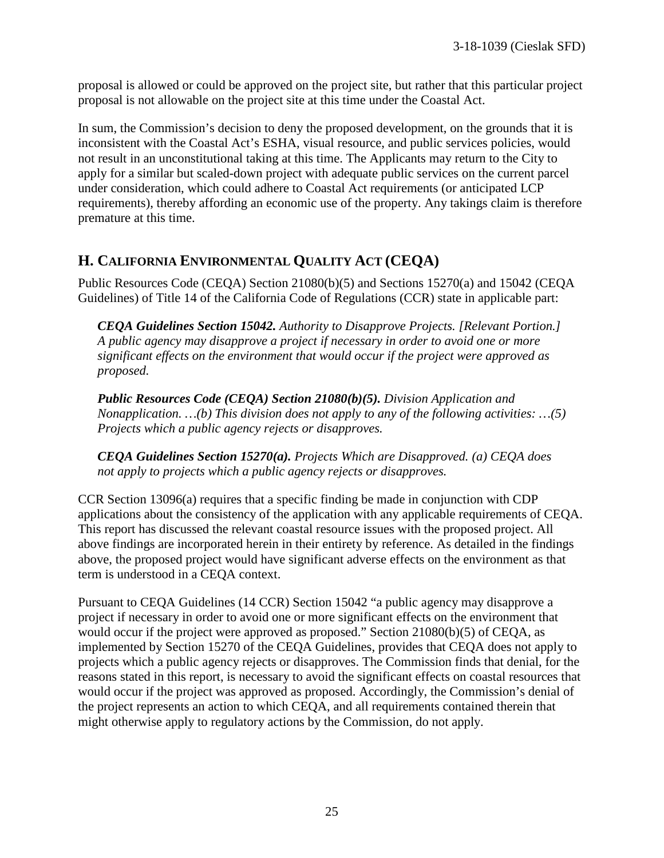proposal is allowed or could be approved on the project site, but rather that this particular project proposal is not allowable on the project site at this time under the Coastal Act.

In sum, the Commission's decision to deny the proposed development, on the grounds that it is inconsistent with the Coastal Act's ESHA, visual resource, and public services policies, would not result in an unconstitutional taking at this time. The Applicants may return to the City to apply for a similar but scaled-down project with adequate public services on the current parcel under consideration, which could adhere to Coastal Act requirements (or anticipated LCP requirements), thereby affording an economic use of the property. Any takings claim is therefore premature at this time.

# **H. CALIFORNIA ENVIRONMENTAL QUALITY ACT (CEQA)**

Public Resources Code (CEQA) Section 21080(b)(5) and Sections 15270(a) and 15042 (CEQA Guidelines) of Title 14 of the California Code of Regulations (CCR) state in applicable part:

*CEQA Guidelines Section 15042. Authority to Disapprove Projects. [Relevant Portion.] A public agency may disapprove a project if necessary in order to avoid one or more significant effects on the environment that would occur if the project were approved as proposed.* 

*Public Resources Code (CEQA) Section 21080(b)(5). Division Application and Nonapplication. …(b) This division does not apply to any of the following activities: …(5) Projects which a public agency rejects or disapproves.* 

*CEQA Guidelines Section 15270(a). Projects Which are Disapproved. (a) CEQA does not apply to projects which a public agency rejects or disapproves.* 

CCR Section 13096(a) requires that a specific finding be made in conjunction with CDP applications about the consistency of the application with any applicable requirements of CEQA. This report has discussed the relevant coastal resource issues with the proposed project. All above findings are incorporated herein in their entirety by reference. As detailed in the findings above, the proposed project would have significant adverse effects on the environment as that term is understood in a CEQA context.

Pursuant to CEQA Guidelines (14 CCR) Section 15042 "a public agency may disapprove a project if necessary in order to avoid one or more significant effects on the environment that would occur if the project were approved as proposed." Section 21080(b)(5) of CEQA, as implemented by Section 15270 of the CEQA Guidelines, provides that CEQA does not apply to projects which a public agency rejects or disapproves. The Commission finds that denial, for the reasons stated in this report, is necessary to avoid the significant effects on coastal resources that would occur if the project was approved as proposed. Accordingly, the Commission's denial of the project represents an action to which CEQA, and all requirements contained therein that might otherwise apply to regulatory actions by the Commission, do not apply.